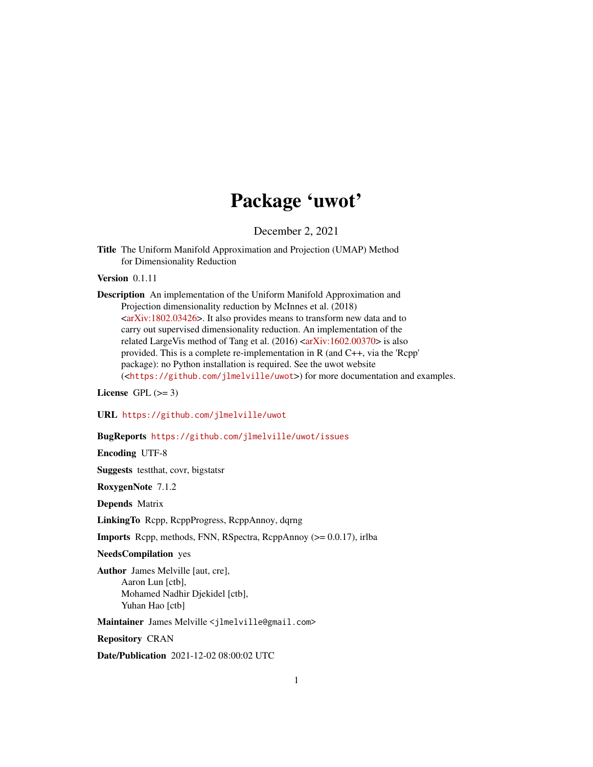## Package 'uwot'

December 2, 2021

<span id="page-0-0"></span>Title The Uniform Manifold Approximation and Projection (UMAP) Method for Dimensionality Reduction

Version 0.1.11

Description An implementation of the Uniform Manifold Approximation and Projection dimensionality reduction by McInnes et al. (2018)  $\langle \text{arXiv:1802.03426}\rangle$ . It also provides means to transform new data and to carry out supervised dimensionality reduction. An implementation of the related LargeVis method of Tang et al. (2016) [<arXiv:1602.00370>](https://arxiv.org/abs/1602.00370) is also provided. This is a complete re-implementation in R (and C++, via the 'Rcpp' package): no Python installation is required. See the uwot website (<<https://github.com/jlmelville/uwot>>) for more documentation and examples.

License GPL  $(>= 3)$ 

URL <https://github.com/jlmelville/uwot>

BugReports <https://github.com/jlmelville/uwot/issues>

Encoding UTF-8

Suggests testthat, covr, bigstatsr

RoxygenNote 7.1.2

Depends Matrix

LinkingTo Rcpp, RcppProgress, RcppAnnoy, dqrng

Imports Rcpp, methods, FNN, RSpectra, RcppAnnoy (>= 0.0.17), irlba

NeedsCompilation yes

Author James Melville [aut, cre], Aaron Lun [ctb], Mohamed Nadhir Djekidel [ctb], Yuhan Hao [ctb]

Maintainer James Melville <jlmelville@gmail.com>

Repository CRAN

Date/Publication 2021-12-02 08:00:02 UTC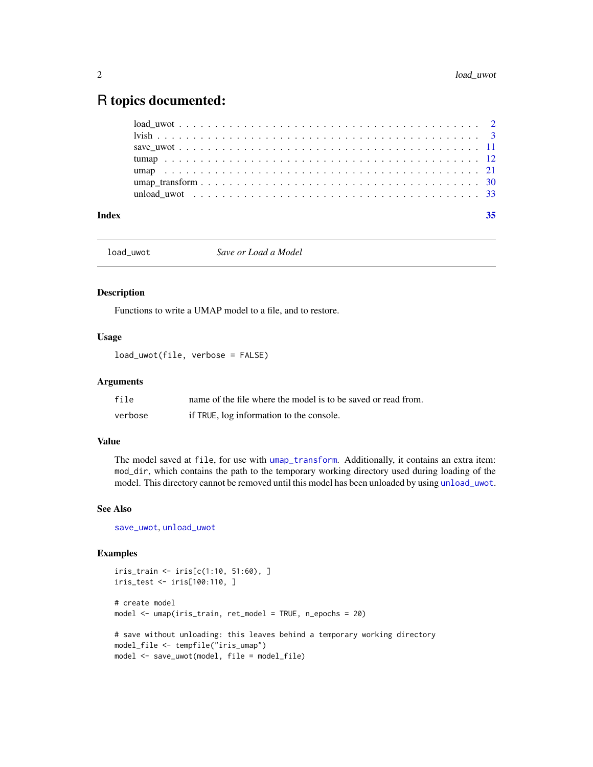### <span id="page-1-0"></span>R topics documented:

| Index | 35 |
|-------|----|
|       |    |
|       |    |
|       |    |
|       |    |
|       |    |
|       |    |
|       |    |

<span id="page-1-1"></span>load\_uwot *Save or Load a Model*

#### Description

Functions to write a UMAP model to a file, and to restore.

#### Usage

load\_uwot(file, verbose = FALSE)

#### **Arguments**

| file    | name of the file where the model is to be saved or read from. |
|---------|---------------------------------------------------------------|
| verbose | if TRUE, log information to the console.                      |

#### Value

The model saved at file, for use with [umap\\_transform](#page-29-1). Additionally, it contains an extra item: mod\_dir, which contains the path to the temporary working directory used during loading of the model. This directory cannot be removed until this model has been unloaded by using [unload\\_uwot](#page-32-1).

#### See Also

[save\\_uwot](#page-10-1), [unload\\_uwot](#page-32-1)

#### Examples

```
iris_train <- iris[c(1:10, 51:60), ]
iris_test <- iris[100:110, ]
# create model
model <- umap(iris_train, ret_model = TRUE, n_epochs = 20)
# save without unloading: this leaves behind a temporary working directory
model_file <- tempfile("iris_umap")
model <- save_uwot(model, file = model_file)
```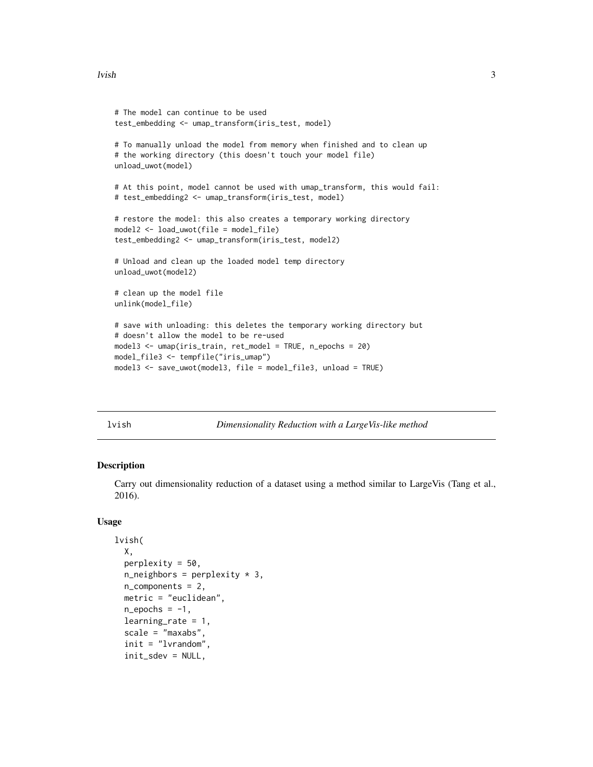```
# The model can continue to be used
test_embedding <- umap_transform(iris_test, model)
# To manually unload the model from memory when finished and to clean up
# the working directory (this doesn't touch your model file)
unload_uwot(model)
# At this point, model cannot be used with umap_transform, this would fail:
# test_embedding2 <- umap_transform(iris_test, model)
# restore the model: this also creates a temporary working directory
model2 <- load_uwot(file = model_file)
test_embedding2 <- umap_transform(iris_test, model2)
# Unload and clean up the loaded model temp directory
unload_uwot(model2)
# clean up the model file
unlink(model_file)
# save with unloading: this deletes the temporary working directory but
# doesn't allow the model to be re-used
model3 <- umap(iris_train, ret_model = TRUE, n_epochs = 20)
model_file3 <- tempfile("iris_umap")
model3 <- save_uwot(model3, file = model_file3, unload = TRUE)
```
lvish *Dimensionality Reduction with a LargeVis-like method*

#### Description

Carry out dimensionality reduction of a dataset using a method similar to LargeVis (Tang et al., 2016).

#### Usage

```
lvish(
  X,
  perplexity = 50,
  n_neighbors = perplexity * 3,
  n_components = 2,
  metric = "euclidean",
  n_epochs = -1,
  learning_rate = 1,
  scale = "maxabs",init = "lvrandom",
  init_sdev = NULL,
```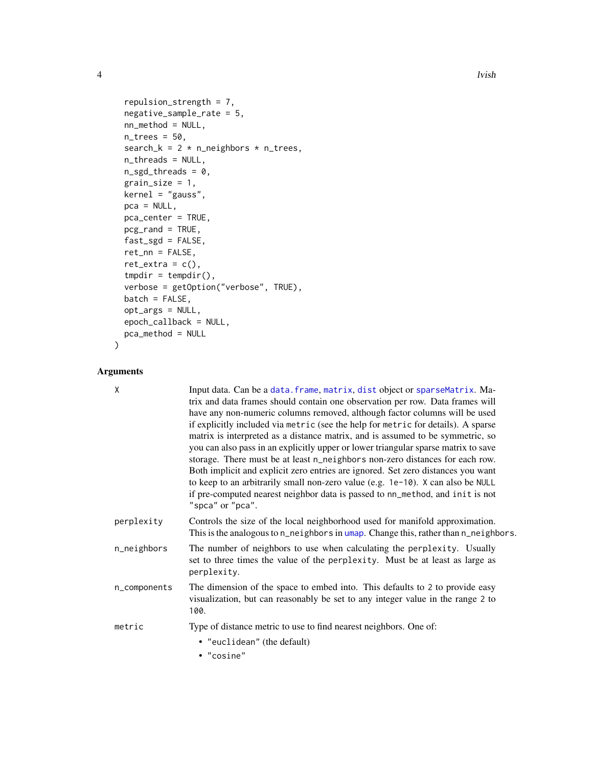<span id="page-3-0"></span>

```
repulsion_strength = 7,
 negative_sample_rate = 5,
 nn_method = NULL,
 n_{\text{trees}} = 50,
  search_k = 2 * n_neighbors * n_trees,
 n_threads = NULL,
 n_sgd_threads = 0,
  grain_size = 1,kernel = "gauss",
 pca = NULL,pca_center = TRUE,
 pcg_rand = TRUE,
 fast_sgd = FALSE,
 ret\_nn = FALSE,ret\_extra = c(),tmpdir = tempdir(),verbose = getOption("verbose", TRUE),
 batch = FALSE,
 opt_args = NULL,
 epoch_callback = NULL,
 pca_method = NULL
\mathcal{L}
```
#### Arguments

| Χ            | Input data. Can be a data. frame, matrix, dist object or sparseMatrix. Ma-<br>trix and data frames should contain one observation per row. Data frames will<br>have any non-numeric columns removed, although factor columns will be used<br>if explicitly included via metric (see the help for metric for details). A sparse<br>matrix is interpreted as a distance matrix, and is assumed to be symmetric, so<br>you can also pass in an explicitly upper or lower triangular sparse matrix to save<br>storage. There must be at least n_neighbors non-zero distances for each row.<br>Both implicit and explicit zero entries are ignored. Set zero distances you want<br>to keep to an arbitrarily small non-zero value (e.g. 1e-10). X can also be NULL<br>if pre-computed nearest neighbor data is passed to nn_method, and init is not<br>"spca" or "pca". |
|--------------|--------------------------------------------------------------------------------------------------------------------------------------------------------------------------------------------------------------------------------------------------------------------------------------------------------------------------------------------------------------------------------------------------------------------------------------------------------------------------------------------------------------------------------------------------------------------------------------------------------------------------------------------------------------------------------------------------------------------------------------------------------------------------------------------------------------------------------------------------------------------|
| perplexity   | Controls the size of the local neighborhood used for manifold approximation.<br>This is the analogous to n_neighbors in umap. Change this, rather than n_neighbors.                                                                                                                                                                                                                                                                                                                                                                                                                                                                                                                                                                                                                                                                                                |
| n_neighbors  | The number of neighbors to use when calculating the perplexity. Usually<br>set to three times the value of the perplexity. Must be at least as large as<br>perplexity.                                                                                                                                                                                                                                                                                                                                                                                                                                                                                                                                                                                                                                                                                             |
| n_components | The dimension of the space to embed into. This defaults to 2 to provide easy<br>visualization, but can reasonably be set to any integer value in the range 2 to<br>100.                                                                                                                                                                                                                                                                                                                                                                                                                                                                                                                                                                                                                                                                                            |
| metric       | Type of distance metric to use to find nearest neighbors. One of:<br>• "euclidean" (the default)<br>• "cosine"                                                                                                                                                                                                                                                                                                                                                                                                                                                                                                                                                                                                                                                                                                                                                     |
|              |                                                                                                                                                                                                                                                                                                                                                                                                                                                                                                                                                                                                                                                                                                                                                                                                                                                                    |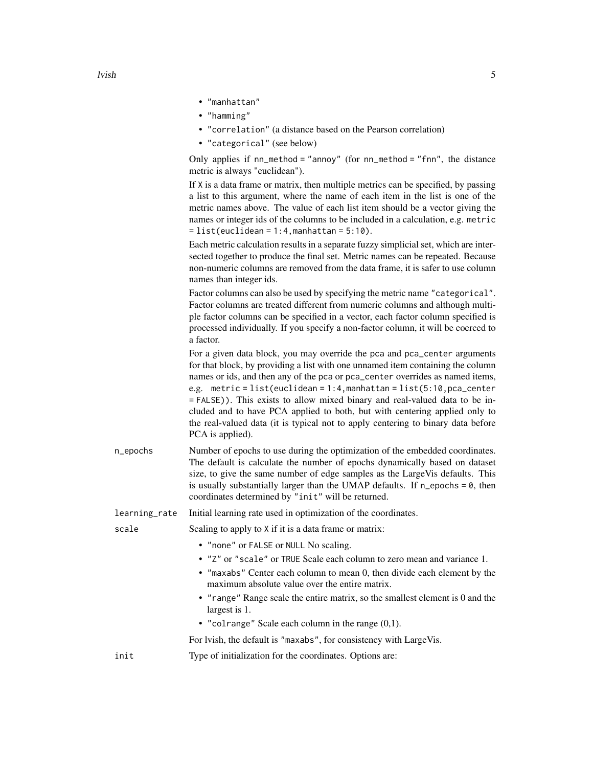| lvish |  |  |  |
|-------|--|--|--|
|       |  |  |  |

• "manhattan"

• "hamming" • "correlation" (a distance based on the Pearson correlation) • "categorical" (see below) Only applies if nn\_method = "annoy" (for nn\_method = "fnn", the distance metric is always "euclidean"). If X is a data frame or matrix, then multiple metrics can be specified, by passing a list to this argument, where the name of each item in the list is one of the metric names above. The value of each list item should be a vector giving the names or integer ids of the columns to be included in a calculation, e.g. metric  $=$  list(euclidean = 1:4, manhattan = 5:10). Each metric calculation results in a separate fuzzy simplicial set, which are intersected together to produce the final set. Metric names can be repeated. Because non-numeric columns are removed from the data frame, it is safer to use column names than integer ids. Factor columns can also be used by specifying the metric name "categorical". Factor columns are treated different from numeric columns and although multiple factor columns can be specified in a vector, each factor column specified is processed individually. If you specify a non-factor column, it will be coerced to a factor. For a given data block, you may override the pca and pca\_center arguments for that block, by providing a list with one unnamed item containing the column names or ids, and then any of the pca or pca\_center overrides as named items, e.g. metric = list(euclidean = 1:4,manhattan = list(5:10,pca\_center = FALSE)). This exists to allow mixed binary and real-valued data to be included and to have PCA applied to both, but with centering applied only to the real-valued data (it is typical not to apply centering to binary data before PCA is applied). n\_epochs Number of epochs to use during the optimization of the embedded coordinates. The default is calculate the number of epochs dynamically based on dataset size, to give the same number of edge samples as the LargeVis defaults. This is usually substantially larger than the UMAP defaults. If  $n$ -epochs = 0, then coordinates determined by "init" will be returned. learning\_rate Initial learning rate used in optimization of the coordinates. scale Scaling to apply to X if it is a data frame or matrix: • "none" or FALSE or NULL No scaling. • "Z" or "scale" or TRUE Scale each column to zero mean and variance 1. • "maxabs" Center each column to mean 0, then divide each element by the maximum absolute value over the entire matrix. • "range" Range scale the entire matrix, so the smallest element is 0 and the largest is 1. • "colrange" Scale each column in the range (0,1). For lvish, the default is "maxabs", for consistency with LargeVis. init Type of initialization for the coordinates. Options are: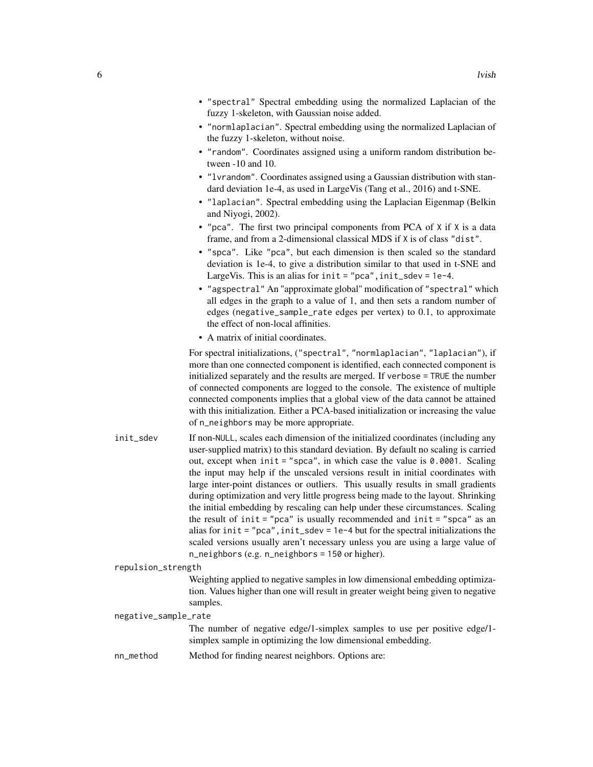- "spectral" Spectral embedding using the normalized Laplacian of the fuzzy 1-skeleton, with Gaussian noise added.
- "normlaplacian". Spectral embedding using the normalized Laplacian of the fuzzy 1-skeleton, without noise.
- "random". Coordinates assigned using a uniform random distribution between -10 and 10.
- "lvrandom". Coordinates assigned using a Gaussian distribution with standard deviation 1e-4, as used in LargeVis (Tang et al., 2016) and t-SNE.
- "laplacian". Spectral embedding using the Laplacian Eigenmap (Belkin and Niyogi, 2002).
- "pca". The first two principal components from PCA of X if X is a data frame, and from a 2-dimensional classical MDS if X is of class "dist".
- "spca". Like "pca", but each dimension is then scaled so the standard deviation is 1e-4, to give a distribution similar to that used in t-SNE and LargeVis. This is an alias for  $init = "pca", init_sdev = 1e-4.$
- "agspectral" An "approximate global" modification of "spectral" which all edges in the graph to a value of 1, and then sets a random number of edges (negative\_sample\_rate edges per vertex) to 0.1, to approximate the effect of non-local affinities.
- A matrix of initial coordinates.

For spectral initializations, ("spectral", "normlaplacian", "laplacian"), if more than one connected component is identified, each connected component is initialized separately and the results are merged. If verbose = TRUE the number of connected components are logged to the console. The existence of multiple connected components implies that a global view of the data cannot be attained with this initialization. Either a PCA-based initialization or increasing the value of n\_neighbors may be more appropriate.

init\_sdev If non-NULL, scales each dimension of the initialized coordinates (including any user-supplied matrix) to this standard deviation. By default no scaling is carried out, except when  $init = "spca",$  in which case the value is 0.0001. Scaling the input may help if the unscaled versions result in initial coordinates with large inter-point distances or outliers. This usually results in small gradients during optimization and very little progress being made to the layout. Shrinking the initial embedding by rescaling can help under these circumstances. Scaling the result of init  $=$  "pca" is usually recommended and init  $=$  "spca" as an alias for init = "pca", init\_sdev =  $1e-4$  but for the spectral initializations the scaled versions usually aren't necessary unless you are using a large value of n\_neighbors (e.g. n\_neighbors = 150 or higher).

repulsion\_strength

Weighting applied to negative samples in low dimensional embedding optimization. Values higher than one will result in greater weight being given to negative samples.

negative\_sample\_rate

The number of negative edge/1-simplex samples to use per positive edge/1 simplex sample in optimizing the low dimensional embedding.

nn\_method Method for finding nearest neighbors. Options are: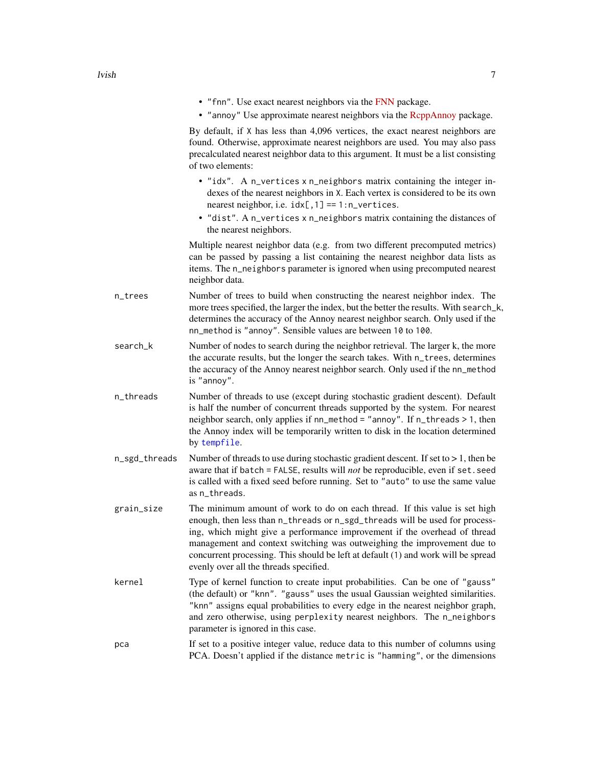• "annoy" Use approximate nearest neighbors via the [RcppAnnoy](https://cran.r-project.org/package=RcppAnnoy) package.

<span id="page-6-0"></span>By default, if X has less than 4,096 vertices, the exact nearest neighbors are found. Otherwise, approximate nearest neighbors are used. You may also pass precalculated nearest neighbor data to this argument. It must be a list consisting of two elements:

- "idx". A n\_vertices x n\_neighbors matrix containing the integer indexes of the nearest neighbors in X. Each vertex is considered to be its own nearest neighbor, i.e.  $idx[, 1] == 1:n_vertices$ .
- "dist". A n\_vertices x n\_neighbors matrix containing the distances of the nearest neighbors.

Multiple nearest neighbor data (e.g. from two different precomputed metrics) can be passed by passing a list containing the nearest neighbor data lists as items. The n\_neighbors parameter is ignored when using precomputed nearest neighbor data.

- n\_trees Number of trees to build when constructing the nearest neighbor index. The more trees specified, the larger the index, but the better the results. With search\_k, determines the accuracy of the Annoy nearest neighbor search. Only used if the nn\_method is "annoy". Sensible values are between 10 to 100.
- search\_k Number of nodes to search during the neighbor retrieval. The larger k, the more the accurate results, but the longer the search takes. With n\_trees, determines the accuracy of the Annoy nearest neighbor search. Only used if the nn\_method is "annoy".
- n\_threads Number of threads to use (except during stochastic gradient descent). Default is half the number of concurrent threads supported by the system. For nearest neighbor search, only applies if nn\_method = "annoy". If n\_threads > 1, then the Annoy index will be temporarily written to disk in the location determined by [tempfile](#page-0-0).
- $n$ \_sgd\_threads Number of threads to use during stochastic gradient descent. If set to  $> 1$ , then be aware that if batch = FALSE, results will *not* be reproducible, even if set.seed is called with a fixed seed before running. Set to "auto" to use the same value as n\_threads.
- grain\_size The minimum amount of work to do on each thread. If this value is set high enough, then less than n\_threads or n\_sgd\_threads will be used for processing, which might give a performance improvement if the overhead of thread management and context switching was outweighing the improvement due to concurrent processing. This should be left at default (1) and work will be spread evenly over all the threads specified.
- kernel Type of kernel function to create input probabilities. Can be one of "gauss" (the default) or "knn". "gauss" uses the usual Gaussian weighted similarities. "knn" assigns equal probabilities to every edge in the nearest neighbor graph, and zero otherwise, using perplexity nearest neighbors. The n\_neighbors parameter is ignored in this case.
- pca If set to a positive integer value, reduce data to this number of columns using PCA. Doesn't applied if the distance metric is "hamming", or the dimensions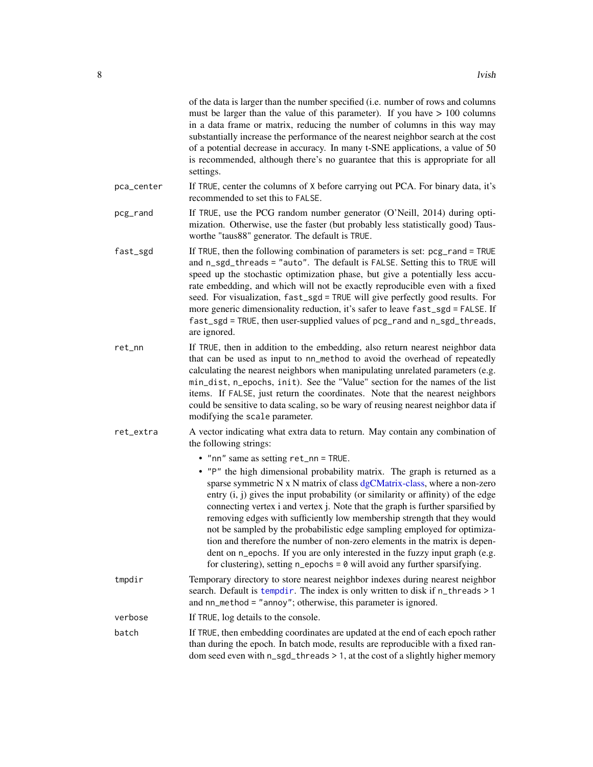<span id="page-7-0"></span>

|            | of the data is larger than the number specified (i.e. number of rows and columns<br>must be larger than the value of this parameter). If you have $> 100$ columns<br>in a data frame or matrix, reducing the number of columns in this way may<br>substantially increase the performance of the nearest neighbor search at the cost<br>of a potential decrease in accuracy. In many t-SNE applications, a value of 50<br>is recommended, although there's no guarantee that this is appropriate for all<br>settings.                                                                                                                                                                                                                                                              |
|------------|-----------------------------------------------------------------------------------------------------------------------------------------------------------------------------------------------------------------------------------------------------------------------------------------------------------------------------------------------------------------------------------------------------------------------------------------------------------------------------------------------------------------------------------------------------------------------------------------------------------------------------------------------------------------------------------------------------------------------------------------------------------------------------------|
| pca_center | If TRUE, center the columns of X before carrying out PCA. For binary data, it's<br>recommended to set this to FALSE.                                                                                                                                                                                                                                                                                                                                                                                                                                                                                                                                                                                                                                                              |
| pcg_rand   | If TRUE, use the PCG random number generator (O'Neill, 2014) during opti-<br>mization. Otherwise, use the faster (but probably less statistically good) Taus-<br>worthe "taus88" generator. The default is TRUE.                                                                                                                                                                                                                                                                                                                                                                                                                                                                                                                                                                  |
| fast_sgd   | If TRUE, then the following combination of parameters is set: pcg_rand = TRUE<br>and n_sgd_threads = "auto". The default is FALSE. Setting this to TRUE will<br>speed up the stochastic optimization phase, but give a potentially less accu-<br>rate embedding, and which will not be exactly reproducible even with a fixed<br>seed. For visualization, fast_sgd = TRUE will give perfectly good results. For<br>more generic dimensionality reduction, it's safer to leave fast_sgd = FALSE. If<br>fast_sgd = TRUE, then user-supplied values of pcg_rand and n_sgd_threads,<br>are ignored.                                                                                                                                                                                   |
| ret_nn     | If TRUE, then in addition to the embedding, also return nearest neighbor data<br>that can be used as input to nn_method to avoid the overhead of repeatedly<br>calculating the nearest neighbors when manipulating unrelated parameters (e.g.<br>min_dist, n_epochs, init). See the "Value" section for the names of the list<br>items. If FALSE, just return the coordinates. Note that the nearest neighbors<br>could be sensitive to data scaling, so be wary of reusing nearest neighbor data if<br>modifying the scale parameter.                                                                                                                                                                                                                                            |
| ret_extra  | A vector indicating what extra data to return. May contain any combination of<br>the following strings:                                                                                                                                                                                                                                                                                                                                                                                                                                                                                                                                                                                                                                                                           |
|            | • "nn" same as setting ret_nn = TRUE.<br>• "P" the high dimensional probability matrix. The graph is returned as a<br>sparse symmetric N x N matrix of class dgCMatrix-class, where a non-zero<br>entry $(i, j)$ gives the input probability (or similarity or affinity) of the edge<br>connecting vertex i and vertex j. Note that the graph is further sparsified by<br>removing edges with sufficiently low membership strength that they would<br>not be sampled by the probabilistic edge sampling employed for optimiza-<br>tion and therefore the number of non-zero elements in the matrix is depen-<br>dent on n_epochs. If you are only interested in the fuzzy input graph (e.g.<br>for clustering), setting $n$ epochs = $\theta$ will avoid any further sparsifying. |
| tmpdir     | Temporary directory to store nearest neighbor indexes during nearest neighbor<br>search. Default is tempdir. The index is only written to disk if n_threads > 1<br>and nn_method = "annoy"; otherwise, this parameter is ignored.                                                                                                                                                                                                                                                                                                                                                                                                                                                                                                                                                 |
| verbose    | If TRUE, log details to the console.                                                                                                                                                                                                                                                                                                                                                                                                                                                                                                                                                                                                                                                                                                                                              |
| batch      | If TRUE, then embedding coordinates are updated at the end of each epoch rather<br>than during the epoch. In batch mode, results are reproducible with a fixed ran-<br>dom seed even with n_sgd_threads > 1, at the cost of a slightly higher memory                                                                                                                                                                                                                                                                                                                                                                                                                                                                                                                              |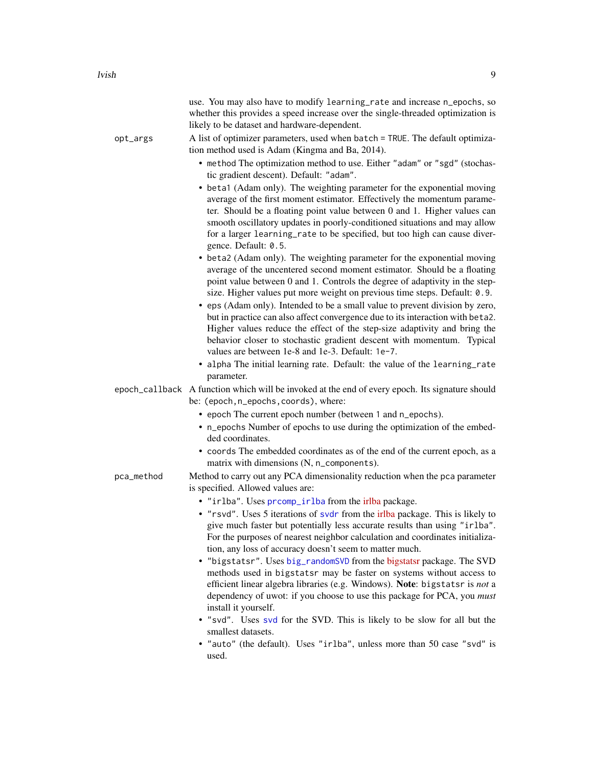<span id="page-8-0"></span>

|            | use. You may also have to modify learning_rate and increase n_epochs, so<br>whether this provides a speed increase over the single-threaded optimization is<br>likely to be dataset and hardware-dependent.                                                                                                                                                                                                                                                                                                                                                                                                                                                                                                                                                                                                                                                                                                                                                                                                                                                                                                                                                                                                                                                                                                                                                                                                                                                            |
|------------|------------------------------------------------------------------------------------------------------------------------------------------------------------------------------------------------------------------------------------------------------------------------------------------------------------------------------------------------------------------------------------------------------------------------------------------------------------------------------------------------------------------------------------------------------------------------------------------------------------------------------------------------------------------------------------------------------------------------------------------------------------------------------------------------------------------------------------------------------------------------------------------------------------------------------------------------------------------------------------------------------------------------------------------------------------------------------------------------------------------------------------------------------------------------------------------------------------------------------------------------------------------------------------------------------------------------------------------------------------------------------------------------------------------------------------------------------------------------|
| opt_args   | A list of optimizer parameters, used when batch = TRUE. The default optimiza-<br>tion method used is Adam (Kingma and Ba, 2014).<br>• method The optimization method to use. Either "adam" or "sgd" (stochas-<br>tic gradient descent). Default: "adam".<br>• beta1 (Adam only). The weighting parameter for the exponential moving<br>average of the first moment estimator. Effectively the momentum parame-<br>ter. Should be a floating point value between 0 and 1. Higher values can<br>smooth oscillatory updates in poorly-conditioned situations and may allow<br>for a larger learning_rate to be specified, but too high can cause diver-<br>gence. Default: 0.5.<br>• beta2 (Adam only). The weighting parameter for the exponential moving<br>average of the uncentered second moment estimator. Should be a floating<br>point value between 0 and 1. Controls the degree of adaptivity in the step-<br>size. Higher values put more weight on previous time steps. Default: 0.9.<br>• eps (Adam only). Intended to be a small value to prevent division by zero,<br>but in practice can also affect convergence due to its interaction with beta2.<br>Higher values reduce the effect of the step-size adaptivity and bring the<br>behavior closer to stochastic gradient descent with momentum. Typical<br>values are between 1e-8 and 1e-3. Default: 1e-7.<br>• alpha The initial learning rate. Default: the value of the learning_rate<br>parameter. |
|            | epoch_callback A function which will be invoked at the end of every epoch. Its signature should<br>be: (epoch, n_epochs, coords), where:<br>• epoch The current epoch number (between 1 and n_epochs).<br>• n_epochs Number of epochs to use during the optimization of the embed-<br>ded coordinates.<br>• coords The embedded coordinates as of the end of the current epoch, as a<br>matrix with dimensions (N, n_components).                                                                                                                                                                                                                                                                                                                                                                                                                                                                                                                                                                                                                                                                                                                                                                                                                                                                                                                                                                                                                                      |
| pca_method | Method to carry out any PCA dimensionality reduction when the pca parameter<br>is specified. Allowed values are:<br>• "irlba". Uses prcomp_irlba from the irlba package.<br>. "rsvd". Uses 5 iterations of svdr from the irlba package. This is likely to<br>give much faster but potentially less accurate results than using "irlba".<br>For the purposes of nearest neighbor calculation and coordinates initializa-<br>tion, any loss of accuracy doesn't seem to matter much.<br>. "bigstatsr". Uses big_randomSVD from the bigstatsr package. The SVD<br>methods used in bigstatsr may be faster on systems without access to<br>efficient linear algebra libraries (e.g. Windows). Note: bigstatsr is not a<br>dependency of uwot: if you choose to use this package for PCA, you must<br>install it yourself.<br>. "svd". Uses svd for the SVD. This is likely to be slow for all but the<br>smallest datasets.<br>· "auto" (the default). Uses "irlba", unless more than 50 case "svd" is<br>used.                                                                                                                                                                                                                                                                                                                                                                                                                                                            |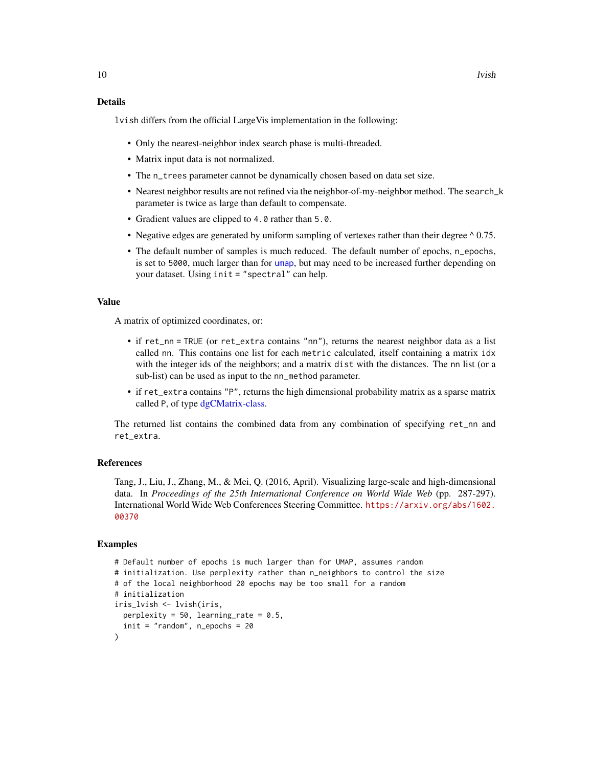#### <span id="page-9-0"></span>Details

lvish differs from the official LargeVis implementation in the following:

- Only the nearest-neighbor index search phase is multi-threaded.
- Matrix input data is not normalized.
- The n\_trees parameter cannot be dynamically chosen based on data set size.
- Nearest neighbor results are not refined via the neighbor-of-my-neighbor method. The search\_k parameter is twice as large than default to compensate.
- Gradient values are clipped to 4.0 rather than 5.0.
- Negative edges are generated by uniform sampling of vertexes rather than their degree  $\land$  0.75.
- The default number of samples is much reduced. The default number of epochs, n\_epochs, is set to 5000, much larger than for [umap](#page-20-1), but may need to be increased further depending on your dataset. Using init = "spectral" can help.

#### Value

A matrix of optimized coordinates, or:

- if ret\_nn = TRUE (or ret\_extra contains "nn"), returns the nearest neighbor data as a list called nn. This contains one list for each metric calculated, itself containing a matrix idx with the integer ids of the neighbors; and a matrix dist with the distances. The nn list (or a sub-list) can be used as input to the nn\_method parameter.
- if ret\_extra contains "P", returns the high dimensional probability matrix as a sparse matrix called P, of type [dgCMatrix-class.](#page-0-0)

The returned list contains the combined data from any combination of specifying ret\_nn and ret\_extra.

#### References

Tang, J., Liu, J., Zhang, M., & Mei, Q. (2016, April). Visualizing large-scale and high-dimensional data. In *Proceedings of the 25th International Conference on World Wide Web* (pp. 287-297). International World Wide Web Conferences Steering Committee. [https://arxiv.org/abs/1602.](https://arxiv.org/abs/1602.00370) [00370](https://arxiv.org/abs/1602.00370)

#### Examples

```
# Default number of epochs is much larger than for UMAP, assumes random
# initialization. Use perplexity rather than n_neighbors to control the size
# of the local neighborhood 20 epochs may be too small for a random
# initialization
iris_lvish <- lvish(iris,
  perplexity = 50, learning_rate = 0.5,
  init = "random", n epochs = 20
\lambda
```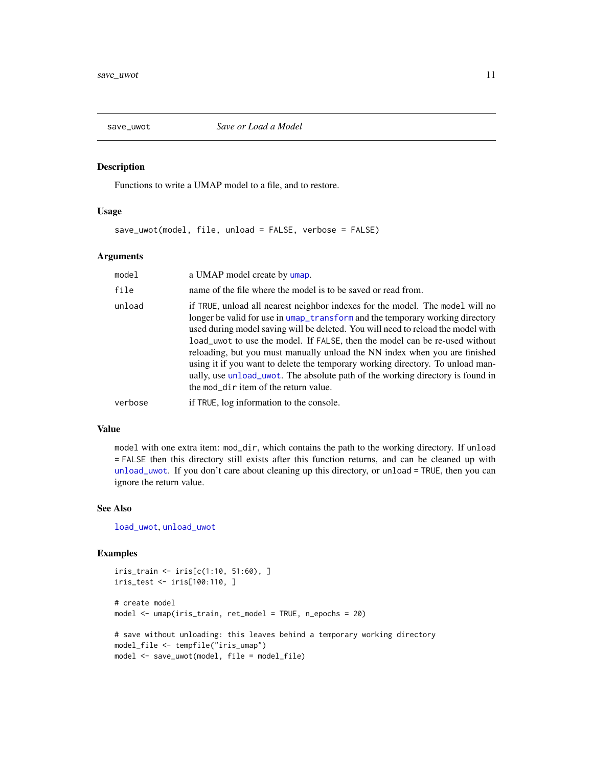<span id="page-10-1"></span><span id="page-10-0"></span>

#### Description

Functions to write a UMAP model to a file, and to restore.

#### Usage

save\_uwot(model, file, unload = FALSE, verbose = FALSE)

#### Arguments

| model   | a UMAP model create by umap.                                                                                                                                                                                                                                                                                                                                                                                                                                                                                                                                                                                                 |
|---------|------------------------------------------------------------------------------------------------------------------------------------------------------------------------------------------------------------------------------------------------------------------------------------------------------------------------------------------------------------------------------------------------------------------------------------------------------------------------------------------------------------------------------------------------------------------------------------------------------------------------------|
| file    | name of the file where the model is to be saved or read from.                                                                                                                                                                                                                                                                                                                                                                                                                                                                                                                                                                |
| unload  | if TRUE, unload all nearest neighbor indexes for the model. The model will no<br>longer be valid for use in umap_transform and the temporary working directory<br>used during model saving will be deleted. You will need to reload the model with<br>load_uwot to use the model. If FALSE, then the model can be re-used without<br>reloading, but you must manually unload the NN index when you are finished<br>using it if you want to delete the temporary working directory. To unload man-<br>ually, use unload_uwot. The absolute path of the working directory is found in<br>the mod_dir item of the return value. |
| verbose | if TRUE, log information to the console.                                                                                                                                                                                                                                                                                                                                                                                                                                                                                                                                                                                     |

#### Value

model with one extra item: mod\_dir, which contains the path to the working directory. If unload = FALSE then this directory still exists after this function returns, and can be cleaned up with [unload\\_uwot](#page-32-1). If you don't care about cleaning up this directory, or unload = TRUE, then you can ignore the return value.

#### See Also

[load\\_uwot](#page-1-1), [unload\\_uwot](#page-32-1)

#### Examples

```
iris_train <- iris[c(1:10, 51:60), ]
iris_test <- iris[100:110, ]
# create model
model <- umap(iris_train, ret_model = TRUE, n_epochs = 20)
# save without unloading: this leaves behind a temporary working directory
model_file <- tempfile("iris_umap")
model <- save_uwot(model, file = model_file)
```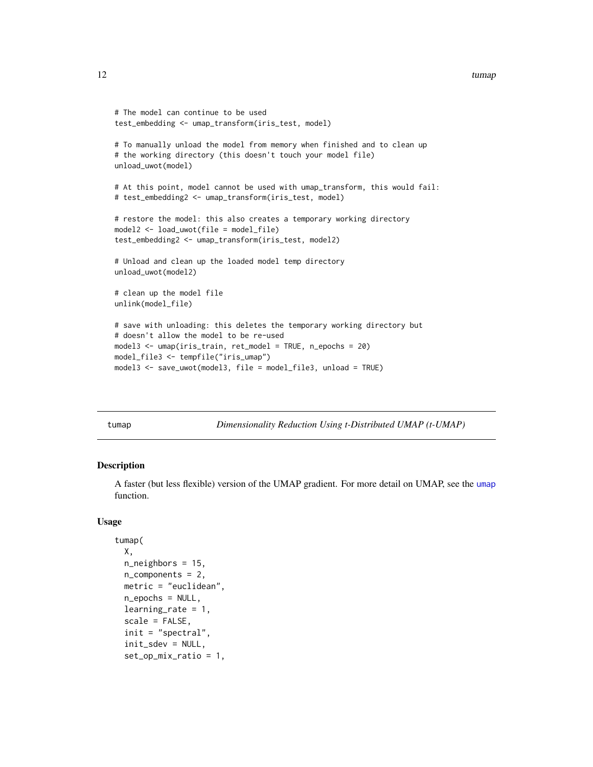```
# The model can continue to be used
test_embedding <- umap_transform(iris_test, model)
# To manually unload the model from memory when finished and to clean up
# the working directory (this doesn't touch your model file)
unload_uwot(model)
# At this point, model cannot be used with umap_transform, this would fail:
# test_embedding2 <- umap_transform(iris_test, model)
# restore the model: this also creates a temporary working directory
model2 <- load_uwot(file = model_file)
test_embedding2 <- umap_transform(iris_test, model2)
# Unload and clean up the loaded model temp directory
unload_uwot(model2)
# clean up the model file
unlink(model_file)
# save with unloading: this deletes the temporary working directory but
# doesn't allow the model to be re-used
model3 <- umap(iris_train, ret_model = TRUE, n_epochs = 20)
model_file3 <- tempfile("iris_umap")
model3 <- save_uwot(model3, file = model_file3, unload = TRUE)
```
<span id="page-11-1"></span>

tumap *Dimensionality Reduction Using t-Distributed UMAP (t-UMAP)*

#### Description

A faster (but less flexible) version of the UMAP gradient. For more detail on UMAP, see the [umap](#page-20-1) function.

#### Usage

```
tumap(
  X,
  n_neighbors = 15,
  n_components = 2,
 metric = "euclidean",
  n epochs = NULL,
  learning_rate = 1,
  scale = FALSE,
  init = "spectral",
  init_sdev = NULL,
  set_op_mix_ratio = 1,
```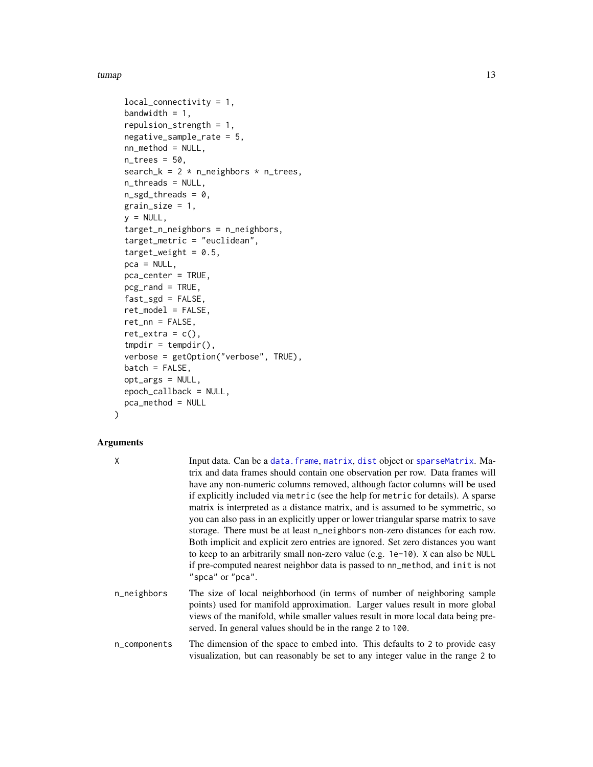<span id="page-12-0"></span>tumap the contract of the contract of the contract of the contract of the contract of the contract of the contract of the contract of the contract of the contract of the contract of the contract of the contract of the cont

```
local_connectivity = 1,
bandwidth = 1,
repulsion_strength = 1,
negative_sample_rate = 5,
nn_method = NULL,
n_{trees} = 50,
search_k = 2 * n_neighbors * n_trees,
n_threads = NULL,
n_s g d_t threads = 0,
grain_size = 1,
y = NULL,target_n_neighbors = n_neighbors,
target_metric = "euclidean",
target_weight = 0.5,
pca = NULL,pca_center = TRUE,
pcg_rand = TRUE,
fast_sgd = FALSE,
ret_model = FALSE,
ret\_nn = FALSE,ret\_extra = c(),
tmpdir = tempdir(),verbose = getOption("verbose", TRUE),
batch = FALSE,opt_args = NULL,
epoch_callback = NULL,
pca_method = NULL
```
#### Arguments

)

| Χ            | Input data. Can be a data. frame, matrix, dist object or sparseMatrix. Ma-<br>trix and data frames should contain one observation per row. Data frames will<br>have any non-numeric columns removed, although factor columns will be used<br>if explicitly included via metric (see the help for metric for details). A sparse<br>matrix is interpreted as a distance matrix, and is assumed to be symmetric, so<br>you can also pass in an explicitly upper or lower triangular sparse matrix to save<br>storage. There must be at least n_neighbors non-zero distances for each row.<br>Both implicit and explicit zero entries are ignored. Set zero distances you want<br>to keep to an arbitrarily small non-zero value (e.g. 1e-10). X can also be NULL<br>if pre-computed nearest neighbor data is passed to nn_method, and init is not<br>"spca" or "pca". |
|--------------|--------------------------------------------------------------------------------------------------------------------------------------------------------------------------------------------------------------------------------------------------------------------------------------------------------------------------------------------------------------------------------------------------------------------------------------------------------------------------------------------------------------------------------------------------------------------------------------------------------------------------------------------------------------------------------------------------------------------------------------------------------------------------------------------------------------------------------------------------------------------|
| n_neighbors  | The size of local neighborhood (in terms of number of neighboring sample<br>points) used for manifold approximation. Larger values result in more global<br>views of the manifold, while smaller values result in more local data being pre-<br>served. In general values should be in the range 2 to 100.                                                                                                                                                                                                                                                                                                                                                                                                                                                                                                                                                         |
| n_components | The dimension of the space to embed into. This defaults to 2 to provide easy<br>visualization, but can reasonably be set to any integer value in the range 2 to                                                                                                                                                                                                                                                                                                                                                                                                                                                                                                                                                                                                                                                                                                    |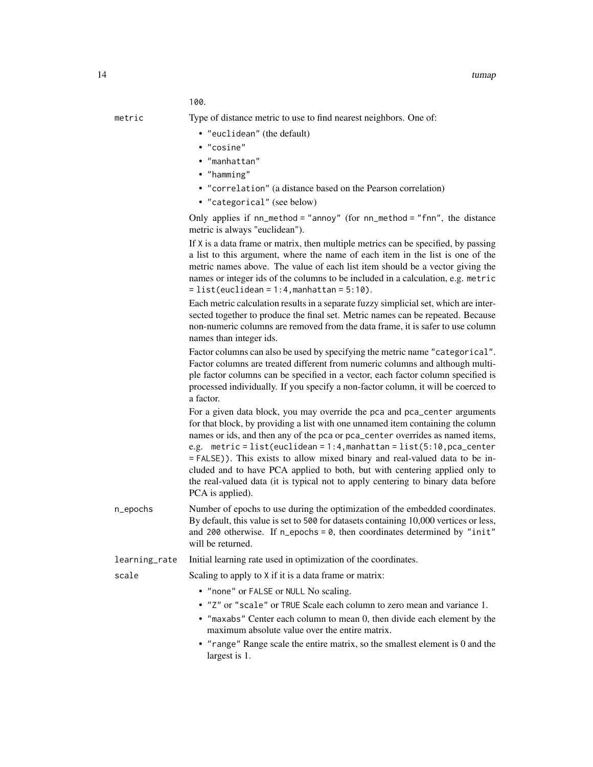100.

metric Type of distance metric to use to find nearest neighbors. One of:

- "euclidean" (the default)
- "cosine"
- "manhattan"
- "hamming"
- "correlation" (a distance based on the Pearson correlation)
- "categorical" (see below)

Only applies if nn\_method = "annoy" (for nn\_method = "fnn", the distance metric is always "euclidean").<br>If X is a data frame or matrix the

|               | If $X$ is a data frame or matrix, then multiple metrics can be specified, by passing<br>a list to this argument, where the name of each item in the list is one of the<br>metric names above. The value of each list item should be a vector giving the<br>names or integer ids of the columns to be included in a calculation, e.g. metric<br>$=$ list(euclidean = 1:4, manhattan = 5:10).<br>Each metric calculation results in a separate fuzzy simplicial set, which are inter-<br>sected together to produce the final set. Metric names can be repeated. Because                        |
|---------------|-----------------------------------------------------------------------------------------------------------------------------------------------------------------------------------------------------------------------------------------------------------------------------------------------------------------------------------------------------------------------------------------------------------------------------------------------------------------------------------------------------------------------------------------------------------------------------------------------|
|               | non-numeric columns are removed from the data frame, it is safer to use column<br>names than integer ids.                                                                                                                                                                                                                                                                                                                                                                                                                                                                                     |
|               | Factor columns can also be used by specifying the metric name "categorical".<br>Factor columns are treated different from numeric columns and although multi-<br>ple factor columns can be specified in a vector, each factor column specified is<br>processed individually. If you specify a non-factor column, it will be coerced to<br>a factor.                                                                                                                                                                                                                                           |
|               | For a given data block, you may override the pca and pca_center arguments<br>for that block, by providing a list with one unnamed item containing the column<br>names or ids, and then any of the pca or pca_center overrides as named items,<br>e.g. $metric = list(euclidean = 1:4,manhattan = list(5:10, pca_center)$<br>= FALSE)). This exists to allow mixed binary and real-valued data to be in-<br>cluded and to have PCA applied to both, but with centering applied only to<br>the real-valued data (it is typical not to apply centering to binary data before<br>PCA is applied). |
| n_epochs      | Number of epochs to use during the optimization of the embedded coordinates.<br>By default, this value is set to 500 for datasets containing 10,000 vertices or less,<br>and 200 otherwise. If $n$ -epochs = 0, then coordinates determined by "init"<br>will be returned.                                                                                                                                                                                                                                                                                                                    |
| learning_rate | Initial learning rate used in optimization of the coordinates.                                                                                                                                                                                                                                                                                                                                                                                                                                                                                                                                |
| scale         | Scaling to apply to X if it is a data frame or matrix:                                                                                                                                                                                                                                                                                                                                                                                                                                                                                                                                        |
|               | • "none" or FALSE or NULL No scaling.                                                                                                                                                                                                                                                                                                                                                                                                                                                                                                                                                         |
|               | • "Z" or "scale" or TRUE Scale each column to zero mean and variance 1.                                                                                                                                                                                                                                                                                                                                                                                                                                                                                                                       |
|               | • "maxabs" Center each column to mean 0, then divide each element by the<br>maximum absolute value over the entire matrix.                                                                                                                                                                                                                                                                                                                                                                                                                                                                    |
|               | • "range" Range scale the entire matrix, so the smallest element is 0 and the<br>largest is 1.                                                                                                                                                                                                                                                                                                                                                                                                                                                                                                |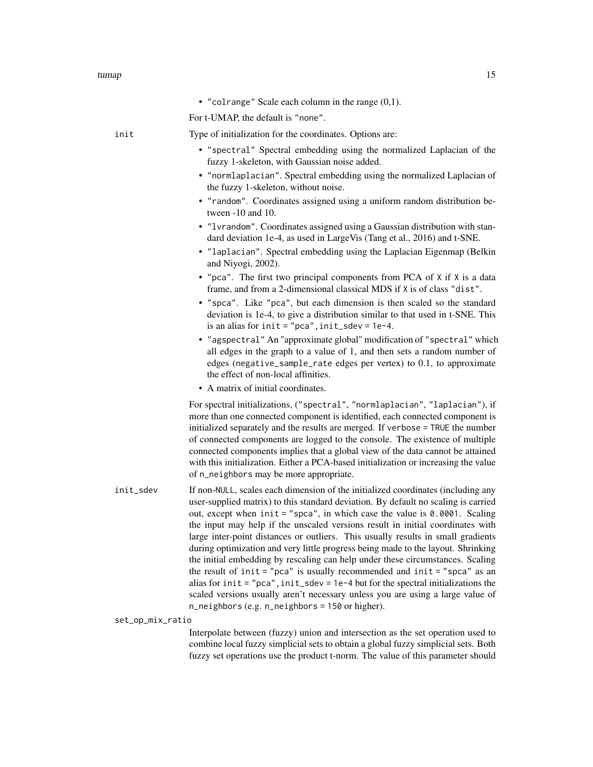• "colrange" Scale each column in the range  $(0,1)$ .

For t-UMAP, the default is "none".

init Type of initialization for the coordinates. Options are:

- "spectral" Spectral embedding using the normalized Laplacian of the fuzzy 1-skeleton, with Gaussian noise added.
- "normlaplacian". Spectral embedding using the normalized Laplacian of the fuzzy 1-skeleton, without noise.
- "random". Coordinates assigned using a uniform random distribution between -10 and 10.
- "lvrandom". Coordinates assigned using a Gaussian distribution with standard deviation 1e-4, as used in LargeVis (Tang et al., 2016) and t-SNE.
- "laplacian". Spectral embedding using the Laplacian Eigenmap (Belkin and Niyogi, 2002).
- "pca". The first two principal components from PCA of X if X is a data frame, and from a 2-dimensional classical MDS if X is of class "dist".
- "spca". Like "pca", but each dimension is then scaled so the standard deviation is 1e-4, to give a distribution similar to that used in t-SNE. This is an alias for  $init = "pca", init_sdev = 1e-4.$
- "agspectral" An "approximate global" modification of "spectral" which all edges in the graph to a value of 1, and then sets a random number of edges (negative\_sample\_rate edges per vertex) to 0.1, to approximate the effect of non-local affinities.
- A matrix of initial coordinates.

For spectral initializations, ("spectral", "normlaplacian", "laplacian"), if more than one connected component is identified, each connected component is initialized separately and the results are merged. If verbose = TRUE the number of connected components are logged to the console. The existence of multiple connected components implies that a global view of the data cannot be attained with this initialization. Either a PCA-based initialization or increasing the value of n\_neighbors may be more appropriate.

init\_sdev If non-NULL, scales each dimension of the initialized coordinates (including any user-supplied matrix) to this standard deviation. By default no scaling is carried out, except when  $init = "spca",$  in which case the value is 0.0001. Scaling the input may help if the unscaled versions result in initial coordinates with large inter-point distances or outliers. This usually results in small gradients during optimization and very little progress being made to the layout. Shrinking the initial embedding by rescaling can help under these circumstances. Scaling the result of init  $=$  "pca" is usually recommended and init  $=$  "spca" as an alias for init = "pca", init\_sdev =  $1e-4$  but for the spectral initializations the scaled versions usually aren't necessary unless you are using a large value of n\_neighbors (e.g. n\_neighbors = 150 or higher).

set\_op\_mix\_ratio

Interpolate between (fuzzy) union and intersection as the set operation used to combine local fuzzy simplicial sets to obtain a global fuzzy simplicial sets. Both fuzzy set operations use the product t-norm. The value of this parameter should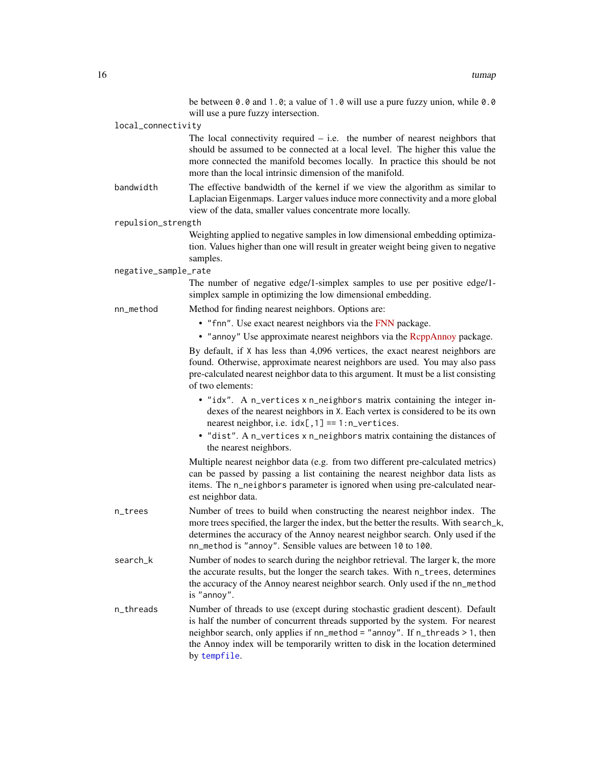be between 0.0 and 1.0; a value of 1.0 will use a pure fuzzy union, while 0.0 will use a pure fuzzy intersection.

#### <span id="page-15-0"></span>local\_connectivity

The local connectivity required  $-$  i.e. the number of nearest neighbors that should be assumed to be connected at a local level. The higher this value the more connected the manifold becomes locally. In practice this should be not more than the local intrinsic dimension of the manifold.

bandwidth The effective bandwidth of the kernel if we view the algorithm as similar to Laplacian Eigenmaps. Larger values induce more connectivity and a more global view of the data, smaller values concentrate more locally.

#### repulsion\_strength

Weighting applied to negative samples in low dimensional embedding optimization. Values higher than one will result in greater weight being given to negative samples.

#### negative\_sample\_rate

The number of negative edge/1-simplex samples to use per positive edge/1 simplex sample in optimizing the low dimensional embedding.

- nn\_method Method for finding nearest neighbors. Options are:
	- "fnn". Use exact nearest neighbors via the [FNN](https://cran.r-project.org/package=FNN) package.
	- "annoy" Use approximate nearest neighbors via the [RcppAnnoy](https://cran.r-project.org/package=RcppAnnoy) package.

By default, if X has less than 4,096 vertices, the exact nearest neighbors are found. Otherwise, approximate nearest neighbors are used. You may also pass pre-calculated nearest neighbor data to this argument. It must be a list consisting of two elements:

- "idx". A n\_vertices x n\_neighbors matrix containing the integer indexes of the nearest neighbors in X. Each vertex is considered to be its own nearest neighbor, i.e.  $idx[, 1] == 1:n_vertices$ .
- "dist". A n\_vertices x n\_neighbors matrix containing the distances of the nearest neighbors.

Multiple nearest neighbor data (e.g. from two different pre-calculated metrics) can be passed by passing a list containing the nearest neighbor data lists as items. The n\_neighbors parameter is ignored when using pre-calculated nearest neighbor data.

- n\_trees Number of trees to build when constructing the nearest neighbor index. The more trees specified, the larger the index, but the better the results. With search\_k, determines the accuracy of the Annoy nearest neighbor search. Only used if the nn\_method is "annoy". Sensible values are between 10 to 100.
- search\_k Number of nodes to search during the neighbor retrieval. The larger k, the more the accurate results, but the longer the search takes. With n\_trees, determines the accuracy of the Annoy nearest neighbor search. Only used if the nn\_method is "annoy".
- n\_threads Number of threads to use (except during stochastic gradient descent). Default is half the number of concurrent threads supported by the system. For nearest neighbor search, only applies if nn\_method = "annoy". If n\_threads > 1, then the Annoy index will be temporarily written to disk in the location determined by [tempfile](#page-0-0).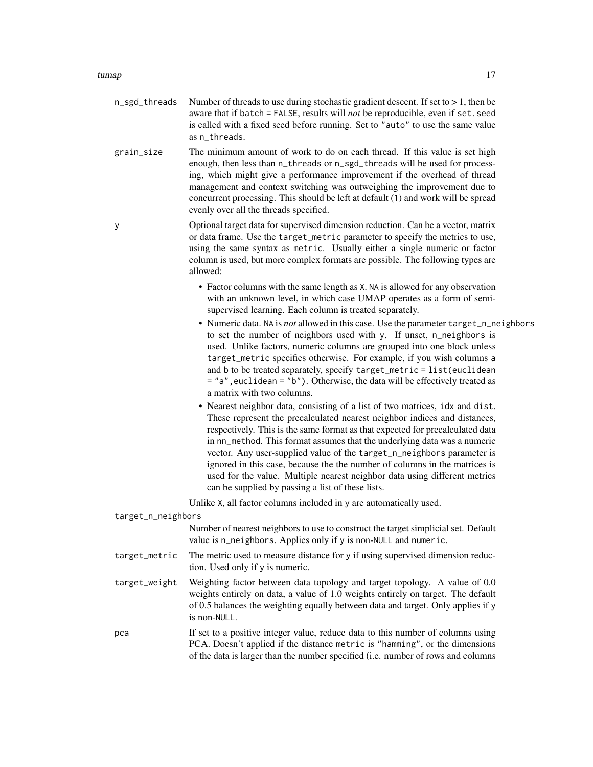#### tumap the contract of the contract of the contract of the contract of the contract of the contract of the contract of the contract of the contract of the contract of the contract of the contract of the contract of the cont

- $n$ \_sgd\_threads Number of threads to use during stochastic gradient descent. If set to  $> 1$ , then be aware that if batch = FALSE, results will *not* be reproducible, even if set.seed is called with a fixed seed before running. Set to "auto" to use the same value as n\_threads.
- grain\_size The minimum amount of work to do on each thread. If this value is set high enough, then less than n\_threads or n\_sgd\_threads will be used for processing, which might give a performance improvement if the overhead of thread management and context switching was outweighing the improvement due to concurrent processing. This should be left at default (1) and work will be spread evenly over all the threads specified.
- y Optional target data for supervised dimension reduction. Can be a vector, matrix or data frame. Use the target\_metric parameter to specify the metrics to use, using the same syntax as metric. Usually either a single numeric or factor column is used, but more complex formats are possible. The following types are allowed:
	- Factor columns with the same length as X. NA is allowed for any observation with an unknown level, in which case UMAP operates as a form of semisupervised learning. Each column is treated separately.
	- Numeric data. NA is *not* allowed in this case. Use the parameter target\_n\_neighbors to set the number of neighbors used with y. If unset, n\_neighbors is used. Unlike factors, numeric columns are grouped into one block unless target\_metric specifies otherwise. For example, if you wish columns a and b to be treated separately, specify target\_metric = list(euclidean = "a",euclidean = "b"). Otherwise, the data will be effectively treated as a matrix with two columns.
	- Nearest neighbor data, consisting of a list of two matrices, idx and dist. These represent the precalculated nearest neighbor indices and distances, respectively. This is the same format as that expected for precalculated data in nn\_method. This format assumes that the underlying data was a numeric vector. Any user-supplied value of the target\_n\_neighbors parameter is ignored in this case, because the the number of columns in the matrices is used for the value. Multiple nearest neighbor data using different metrics can be supplied by passing a list of these lists.

Unlike X, all factor columns included in y are automatically used.

#### target\_n\_neighbors

Number of nearest neighbors to use to construct the target simplicial set. Default value is n\_neighbors. Applies only if y is non-NULL and numeric.

- target\_metric The metric used to measure distance for y if using supervised dimension reduction. Used only if y is numeric.
- target\_weight Weighting factor between data topology and target topology. A value of 0.0 weights entirely on data, a value of 1.0 weights entirely on target. The default of 0.5 balances the weighting equally between data and target. Only applies if y is non-NULL.
- pca If set to a positive integer value, reduce data to this number of columns using PCA. Doesn't applied if the distance metric is "hamming", or the dimensions of the data is larger than the number specified (i.e. number of rows and columns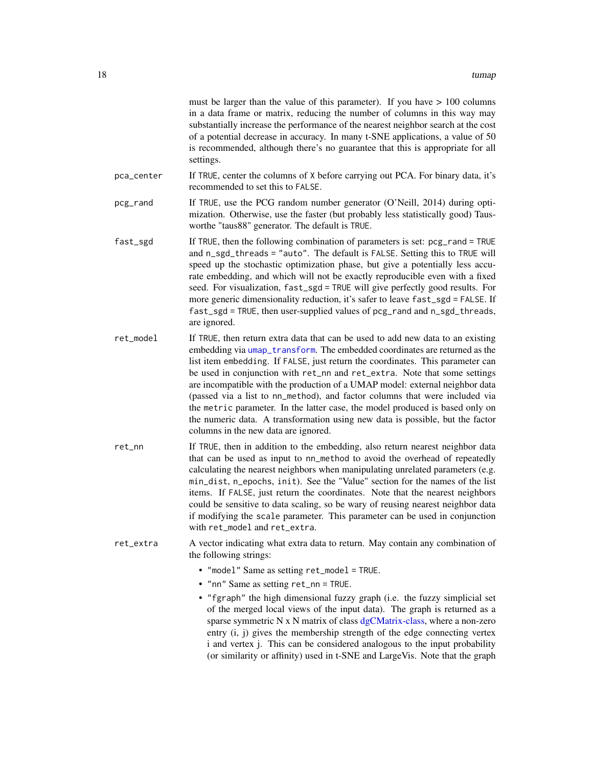<span id="page-17-0"></span>

|            | must be larger than the value of this parameter). If you have $> 100$ columns<br>in a data frame or matrix, reducing the number of columns in this way may<br>substantially increase the performance of the nearest neighbor search at the cost<br>of a potential decrease in accuracy. In many t-SNE applications, a value of 50<br>is recommended, although there's no guarantee that this is appropriate for all<br>settings.                                                                                                                                                                                                                                                                      |
|------------|-------------------------------------------------------------------------------------------------------------------------------------------------------------------------------------------------------------------------------------------------------------------------------------------------------------------------------------------------------------------------------------------------------------------------------------------------------------------------------------------------------------------------------------------------------------------------------------------------------------------------------------------------------------------------------------------------------|
| pca_center | If TRUE, center the columns of X before carrying out PCA. For binary data, it's<br>recommended to set this to FALSE.                                                                                                                                                                                                                                                                                                                                                                                                                                                                                                                                                                                  |
| pcg_rand   | If TRUE, use the PCG random number generator (O'Neill, 2014) during opti-<br>mization. Otherwise, use the faster (but probably less statistically good) Taus-<br>worthe "taus88" generator. The default is TRUE.                                                                                                                                                                                                                                                                                                                                                                                                                                                                                      |
| fast_sgd   | If TRUE, then the following combination of parameters is set: pcg_rand = TRUE<br>and n_sgd_threads = "auto". The default is FALSE. Setting this to TRUE will<br>speed up the stochastic optimization phase, but give a potentially less accu-<br>rate embedding, and which will not be exactly reproducible even with a fixed<br>seed. For visualization, fast_sgd = TRUE will give perfectly good results. For<br>more generic dimensionality reduction, it's safer to leave fast_sgd = FALSE. If<br>fast_sgd = TRUE, then user-supplied values of pcg_rand and n_sgd_threads,<br>are ignored.                                                                                                       |
| ret_model  | If TRUE, then return extra data that can be used to add new data to an existing<br>embedding via umap_transform. The embedded coordinates are returned as the<br>list item embedding. If FALSE, just return the coordinates. This parameter can<br>be used in conjunction with ret_nn and ret_extra. Note that some settings<br>are incompatible with the production of a UMAP model: external neighbor data<br>(passed via a list to nn_method), and factor columns that were included via<br>the metric parameter. In the latter case, the model produced is based only on<br>the numeric data. A transformation using new data is possible, but the factor<br>columns in the new data are ignored. |
| ret_nn     | If TRUE, then in addition to the embedding, also return nearest neighbor data<br>that can be used as input to nn_method to avoid the overhead of repeatedly<br>calculating the nearest neighbors when manipulating unrelated parameters (e.g.<br>min_dist, n_epochs, init). See the "Value" section for the names of the list<br>items. If FALSE, just return the coordinates. Note that the nearest neighbors<br>could be sensitive to data scaling, so be wary of reusing nearest neighbor data<br>if modifying the scale parameter. This parameter can be used in conjunction<br>with ret_model and ret_extra.                                                                                     |
| ret_extra  | A vector indicating what extra data to return. May contain any combination of<br>the following strings:                                                                                                                                                                                                                                                                                                                                                                                                                                                                                                                                                                                               |
|            | • "model" Same as setting ret_model = TRUE.                                                                                                                                                                                                                                                                                                                                                                                                                                                                                                                                                                                                                                                           |
|            | • "nn" Same as setting ret_nn = TRUE.                                                                                                                                                                                                                                                                                                                                                                                                                                                                                                                                                                                                                                                                 |
|            | • "fgraph" the high dimensional fuzzy graph (i.e. the fuzzy simplicial set<br>of the merged local views of the input data). The graph is returned as a<br>sparse symmetric N x N matrix of class dgCMatrix-class, where a non-zero<br>entry (i, j) gives the membership strength of the edge connecting vertex                                                                                                                                                                                                                                                                                                                                                                                        |

i and vertex j. This can be considered analogous to the input probability (or similarity or affinity) used in t-SNE and LargeVis. Note that the graph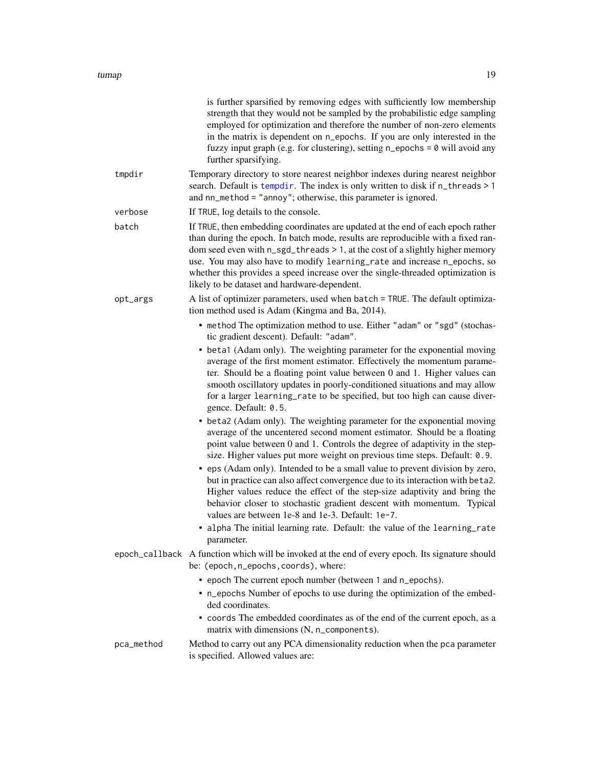<span id="page-18-0"></span>

|            | is further sparsified by removing edges with sufficiently low membership<br>strength that they would not be sampled by the probabilistic edge sampling<br>employed for optimization and therefore the number of non-zero elements<br>in the matrix is dependent on n_epochs. If you are only interested in the<br>fuzzy input graph (e.g. for clustering), setting $n$ -epochs = 0 will avoid any<br>further sparsifying.                                           |
|------------|---------------------------------------------------------------------------------------------------------------------------------------------------------------------------------------------------------------------------------------------------------------------------------------------------------------------------------------------------------------------------------------------------------------------------------------------------------------------|
| tmpdir     | Temporary directory to store nearest neighbor indexes during nearest neighbor<br>search. Default is tempdir. The index is only written to disk if n_threads > 1<br>and nn_method = "annoy"; otherwise, this parameter is ignored.                                                                                                                                                                                                                                   |
| verbose    | If TRUE, log details to the console.                                                                                                                                                                                                                                                                                                                                                                                                                                |
| batch      | If TRUE, then embedding coordinates are updated at the end of each epoch rather<br>than during the epoch. In batch mode, results are reproducible with a fixed ran-<br>dom seed even with n_sgd_threads > 1, at the cost of a slightly higher memory<br>use. You may also have to modify learning_rate and increase n_epochs, so<br>whether this provides a speed increase over the single-threaded optimization is<br>likely to be dataset and hardware-dependent. |
| opt_args   | A list of optimizer parameters, used when batch = TRUE. The default optimiza-<br>tion method used is Adam (Kingma and Ba, 2014).                                                                                                                                                                                                                                                                                                                                    |
|            | • method The optimization method to use. Either "adam" or "sgd" (stochas-<br>tic gradient descent). Default: "adam".                                                                                                                                                                                                                                                                                                                                                |
|            | • beta1 (Adam only). The weighting parameter for the exponential moving<br>average of the first moment estimator. Effectively the momentum parame-<br>ter. Should be a floating point value between 0 and 1. Higher values can<br>smooth oscillatory updates in poorly-conditioned situations and may allow<br>for a larger learning_rate to be specified, but too high can cause diver-<br>gence. Default: 0.5.                                                    |
|            | • beta2 (Adam only). The weighting parameter for the exponential moving<br>average of the uncentered second moment estimator. Should be a floating<br>point value between 0 and 1. Controls the degree of adaptivity in the step-<br>size. Higher values put more weight on previous time steps. Default: 0.9.                                                                                                                                                      |
|            | • eps (Adam only). Intended to be a small value to prevent division by zero,<br>but in practice can also affect convergence due to its interaction with beta2.<br>Higher values reduce the effect of the step-size adaptivity and bring the<br>behavior closer to stochastic gradient descent with momentum. Typical<br>values are between 1e-8 and 1e-3. Default: 1e-7.                                                                                            |
|            | • alpha The initial learning rate. Default: the value of the learning_rate<br>parameter.                                                                                                                                                                                                                                                                                                                                                                            |
|            | epoch_callback A function which will be invoked at the end of every epoch. Its signature should<br>be: (epoch, n_epochs, coords), where:                                                                                                                                                                                                                                                                                                                            |
|            | • epoch The current epoch number (between 1 and n_epochs).                                                                                                                                                                                                                                                                                                                                                                                                          |
|            | • n_epochs Number of epochs to use during the optimization of the embed-<br>ded coordinates.                                                                                                                                                                                                                                                                                                                                                                        |
|            | • coords The embedded coordinates as of the end of the current epoch, as a<br>matrix with dimensions (N, n_components).                                                                                                                                                                                                                                                                                                                                             |
| pca_method | Method to carry out any PCA dimensionality reduction when the pca parameter<br>is specified. Allowed values are:                                                                                                                                                                                                                                                                                                                                                    |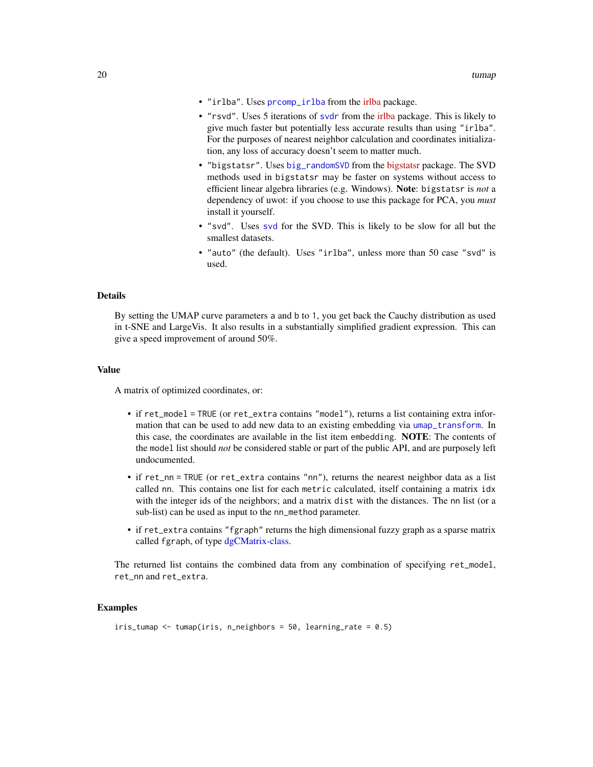- <span id="page-19-0"></span>• "irlba". Uses [prcomp\\_irlba](#page-0-0) from the [irlba](https://cran.r-project.org/package=irlba) package.
- "rsvd". Uses 5 iterations of [svdr](#page-0-0) from the [irlba](https://cran.r-project.org/package=irlba) package. This is likely to give much faster but potentially less accurate results than using "irlba". For the purposes of nearest neighbor calculation and coordinates initialization, any loss of accuracy doesn't seem to matter much.
- "bigstatsr". Uses [big\\_randomSVD](#page-0-0) from the [bigstatsr](https://cran.r-project.org/package=bigstatsr) package. The SVD methods used in bigstatsr may be faster on systems without access to efficient linear algebra libraries (e.g. Windows). Note: bigstatsr is *not* a dependency of uwot: if you choose to use this package for PCA, you *must* install it yourself.
- "svd". Uses [svd](#page-0-0) for the SVD. This is likely to be slow for all but the smallest datasets.
- "auto" (the default). Uses "irlba", unless more than 50 case "svd" is used.

#### **Details**

By setting the UMAP curve parameters a and b to 1, you get back the Cauchy distribution as used in t-SNE and LargeVis. It also results in a substantially simplified gradient expression. This can give a speed improvement of around 50%.

#### Value

A matrix of optimized coordinates, or:

- if ret\_model = TRUE (or ret\_extra contains "model"), returns a list containing extra information that can be used to add new data to an existing embedding via [umap\\_transform](#page-29-1). In this case, the coordinates are available in the list item embedding. NOTE: The contents of the model list should *not* be considered stable or part of the public API, and are purposely left undocumented.
- if ret\_nn = TRUE (or ret\_extra contains "nn"), returns the nearest neighbor data as a list called nn. This contains one list for each metric calculated, itself containing a matrix idx with the integer ids of the neighbors; and a matrix dist with the distances. The nn list (or a sub-list) can be used as input to the nn\_method parameter.
- if ret\_extra contains "fgraph" returns the high dimensional fuzzy graph as a sparse matrix called fgraph, of type [dgCMatrix-class.](#page-0-0)

The returned list contains the combined data from any combination of specifying ret\_model, ret\_nn and ret\_extra.

#### Examples

iris\_tumap <- tumap(iris, n\_neighbors = 50, learning\_rate = 0.5)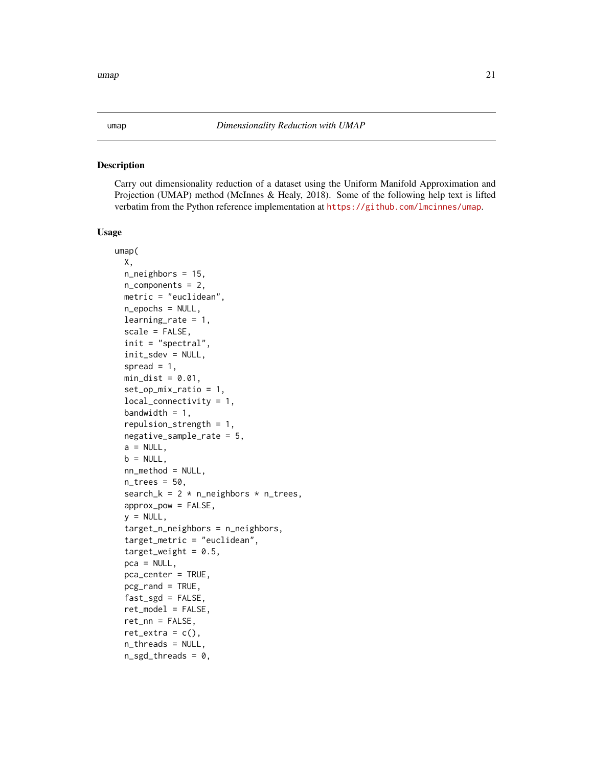#### <span id="page-20-1"></span><span id="page-20-0"></span>Description

Carry out dimensionality reduction of a dataset using the Uniform Manifold Approximation and Projection (UMAP) method (McInnes & Healy, 2018). Some of the following help text is lifted verbatim from the Python reference implementation at <https://github.com/lmcinnes/umap>.

#### Usage

```
umap(
 X,
  n_neighbors = 15,
 n_components = 2,
 metric = "euclidean",
 n_epochs = NULL,
  learning_rate = 1,
  scale = FALSE,
  init = "spectral",
  init_sdev = NULL,
  spread = 1,
  min\_dist = 0.01,
  set_op_mix_ratio = 1,
  local_connectivity = 1,
  bandwidth = 1,
  repulsion_strength = 1,
  negative_sample_rate = 5,
  a = NULL,b = NULL,nn_method = NULL,
  n_{trees} = 50,
  search_k = 2 * n_neighbors * n_trees,
  approx_pow = FALSE,
  y = NULL,target_n_neighbors = n_neighbors,
  target_metric = "euclidean",
  target_weight = 0.5,
  pca = NULL,pca_center = TRUE,
 pcg_rand = TRUE,
  fast_sgd = FALSE,
  ret_model = FALSE,
  ret\_nn = FALSE,
  ret\_extra = c(),n_threads = NULL,
  n_s g d_t threads = 0,
```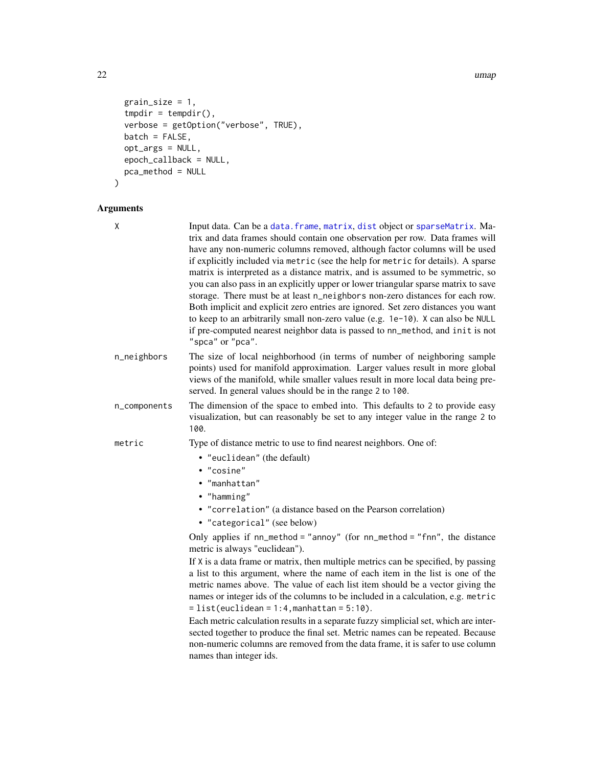```
grain_size = 1,
tmpdir = tempdir(),
verbose = getOption("verbose", TRUE),
batch = FALSE,
opt_args = NULL,
epoch_callback = NULL,
pca_method = NULL
```

```
\mathcal{L}
```
### Arguments

| Χ            | Input data. Can be a data. frame, matrix, dist object or sparseMatrix. Ma-<br>trix and data frames should contain one observation per row. Data frames will<br>have any non-numeric columns removed, although factor columns will be used<br>if explicitly included via metric (see the help for metric for details). A sparse<br>matrix is interpreted as a distance matrix, and is assumed to be symmetric, so<br>you can also pass in an explicitly upper or lower triangular sparse matrix to save<br>storage. There must be at least n_neighbors non-zero distances for each row.<br>Both implicit and explicit zero entries are ignored. Set zero distances you want<br>to keep to an arbitrarily small non-zero value (e.g. 1e-10). X can also be NULL<br>if pre-computed nearest neighbor data is passed to nn_method, and init is not<br>"spca" or "pca". |
|--------------|--------------------------------------------------------------------------------------------------------------------------------------------------------------------------------------------------------------------------------------------------------------------------------------------------------------------------------------------------------------------------------------------------------------------------------------------------------------------------------------------------------------------------------------------------------------------------------------------------------------------------------------------------------------------------------------------------------------------------------------------------------------------------------------------------------------------------------------------------------------------|
| n_neighbors  | The size of local neighborhood (in terms of number of neighboring sample<br>points) used for manifold approximation. Larger values result in more global<br>views of the manifold, while smaller values result in more local data being pre-<br>served. In general values should be in the range 2 to 100.                                                                                                                                                                                                                                                                                                                                                                                                                                                                                                                                                         |
| n_components | The dimension of the space to embed into. This defaults to 2 to provide easy<br>visualization, but can reasonably be set to any integer value in the range 2 to<br>100.                                                                                                                                                                                                                                                                                                                                                                                                                                                                                                                                                                                                                                                                                            |
| metric       | Type of distance metric to use to find nearest neighbors. One of:<br>• "euclidean" (the default)<br>• "cosine"<br>• "manhattan"<br>• "hamming"                                                                                                                                                                                                                                                                                                                                                                                                                                                                                                                                                                                                                                                                                                                     |
|              | • "correlation" (a distance based on the Pearson correlation)<br>• "categorical" (see below)                                                                                                                                                                                                                                                                                                                                                                                                                                                                                                                                                                                                                                                                                                                                                                       |
|              | Only applies if nn_method = "annoy" (for nn_method = "fnn", the distance<br>metric is always "euclidean").                                                                                                                                                                                                                                                                                                                                                                                                                                                                                                                                                                                                                                                                                                                                                         |
|              | If $X$ is a data frame or matrix, then multiple metrics can be specified, by passing<br>a list to this argument, where the name of each item in the list is one of the<br>metric names above. The value of each list item should be a vector giving the<br>names or integer ids of the columns to be included in a calculation, e.g. metric<br>$=$ list(euclidean = 1:4, manhattan = 5:10).                                                                                                                                                                                                                                                                                                                                                                                                                                                                        |
|              | Each metric calculation results in a separate fuzzy simplicial set, which are inter-<br>sected together to produce the final set. Metric names can be repeated. Because<br>non-numeric columns are removed from the data frame, it is safer to use column                                                                                                                                                                                                                                                                                                                                                                                                                                                                                                                                                                                                          |

names than integer ids.

<span id="page-21-0"></span>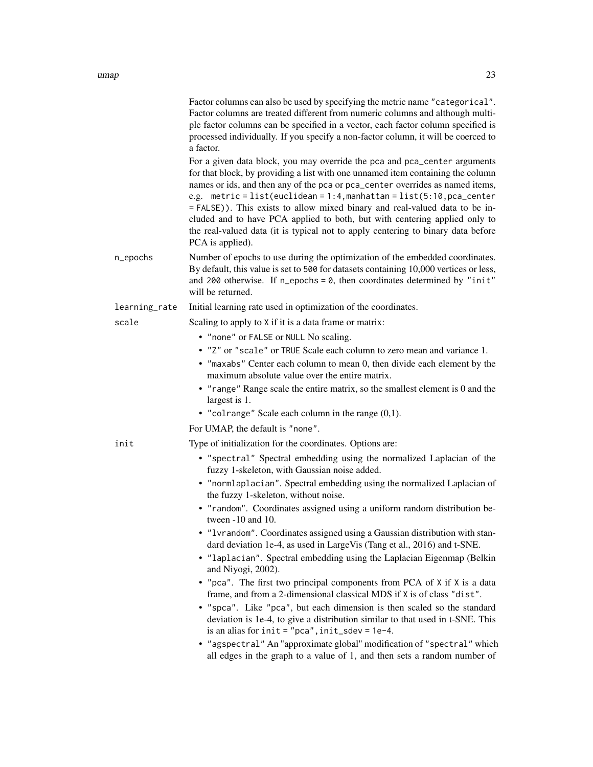|               | Factor columns can also be used by specifying the metric name "categorical".<br>Factor columns are treated different from numeric columns and although multi-<br>ple factor columns can be specified in a vector, each factor column specified is<br>processed individually. If you specify a non-factor column, it will be coerced to<br>a factor.<br>For a given data block, you may override the pca and pca_center arguments<br>for that block, by providing a list with one unnamed item containing the column<br>names or ids, and then any of the pca or pca_center overrides as named items,<br>e.g. $metric = list(euclidean = 1:4,manhattan = list(5:10, pca_center)$<br>= FALSE)). This exists to allow mixed binary and real-valued data to be in-<br>cluded and to have PCA applied to both, but with centering applied only to<br>the real-valued data (it is typical not to apply centering to binary data before<br>PCA is applied). |
|---------------|------------------------------------------------------------------------------------------------------------------------------------------------------------------------------------------------------------------------------------------------------------------------------------------------------------------------------------------------------------------------------------------------------------------------------------------------------------------------------------------------------------------------------------------------------------------------------------------------------------------------------------------------------------------------------------------------------------------------------------------------------------------------------------------------------------------------------------------------------------------------------------------------------------------------------------------------------|
| n_epochs      | Number of epochs to use during the optimization of the embedded coordinates.<br>By default, this value is set to 500 for datasets containing 10,000 vertices or less,<br>and 200 otherwise. If $n$ -epochs = 0, then coordinates determined by "init"<br>will be returned.                                                                                                                                                                                                                                                                                                                                                                                                                                                                                                                                                                                                                                                                           |
| learning_rate | Initial learning rate used in optimization of the coordinates.                                                                                                                                                                                                                                                                                                                                                                                                                                                                                                                                                                                                                                                                                                                                                                                                                                                                                       |
| scale         | Scaling to apply to X if it is a data frame or matrix:                                                                                                                                                                                                                                                                                                                                                                                                                                                                                                                                                                                                                                                                                                                                                                                                                                                                                               |
|               | • "none" or FALSE or NULL No scaling.                                                                                                                                                                                                                                                                                                                                                                                                                                                                                                                                                                                                                                                                                                                                                                                                                                                                                                                |
|               | • "Z" or "scale" or TRUE Scale each column to zero mean and variance 1.<br>• "maxabs" Center each column to mean 0, then divide each element by the<br>maximum absolute value over the entire matrix.<br>• "range" Range scale the entire matrix, so the smallest element is 0 and the                                                                                                                                                                                                                                                                                                                                                                                                                                                                                                                                                                                                                                                               |
|               | largest is 1.<br>• "colrange" Scale each column in the range $(0,1)$ .                                                                                                                                                                                                                                                                                                                                                                                                                                                                                                                                                                                                                                                                                                                                                                                                                                                                               |
|               | For UMAP, the default is "none".                                                                                                                                                                                                                                                                                                                                                                                                                                                                                                                                                                                                                                                                                                                                                                                                                                                                                                                     |
| init          | Type of initialization for the coordinates. Options are:                                                                                                                                                                                                                                                                                                                                                                                                                                                                                                                                                                                                                                                                                                                                                                                                                                                                                             |
|               | • "spectral" Spectral embedding using the normalized Laplacian of the<br>fuzzy 1-skeleton, with Gaussian noise added.                                                                                                                                                                                                                                                                                                                                                                                                                                                                                                                                                                                                                                                                                                                                                                                                                                |
|               | • "normlaplacian". Spectral embedding using the normalized Laplacian of<br>the fuzzy 1-skeleton, without noise.                                                                                                                                                                                                                                                                                                                                                                                                                                                                                                                                                                                                                                                                                                                                                                                                                                      |
|               | • "random". Coordinates assigned using a uniform random distribution be-<br>tween $-10$ and 10.                                                                                                                                                                                                                                                                                                                                                                                                                                                                                                                                                                                                                                                                                                                                                                                                                                                      |
|               | • "1vrandom". Coordinates assigned using a Gaussian distribution with stan-<br>dard deviation 1e-4, as used in LargeVis (Tang et al., 2016) and t-SNE.                                                                                                                                                                                                                                                                                                                                                                                                                                                                                                                                                                                                                                                                                                                                                                                               |
|               | • "laplacian". Spectral embedding using the Laplacian Eigenmap (Belkin<br>and Niyogi, 2002).                                                                                                                                                                                                                                                                                                                                                                                                                                                                                                                                                                                                                                                                                                                                                                                                                                                         |
|               | • "pca". The first two principal components from PCA of X if X is a data<br>frame, and from a 2-dimensional classical MDS if X is of class "dist".                                                                                                                                                                                                                                                                                                                                                                                                                                                                                                                                                                                                                                                                                                                                                                                                   |
|               | • "spca". Like "pca", but each dimension is then scaled so the standard<br>deviation is 1e-4, to give a distribution similar to that used in t-SNE. This<br>is an alias for $init = "pca", init_sdev = 1e-4.$                                                                                                                                                                                                                                                                                                                                                                                                                                                                                                                                                                                                                                                                                                                                        |
|               | • "agspectral" An "approximate global" modification of "spectral" which<br>all edges in the graph to a value of 1, and then sets a random number of                                                                                                                                                                                                                                                                                                                                                                                                                                                                                                                                                                                                                                                                                                                                                                                                  |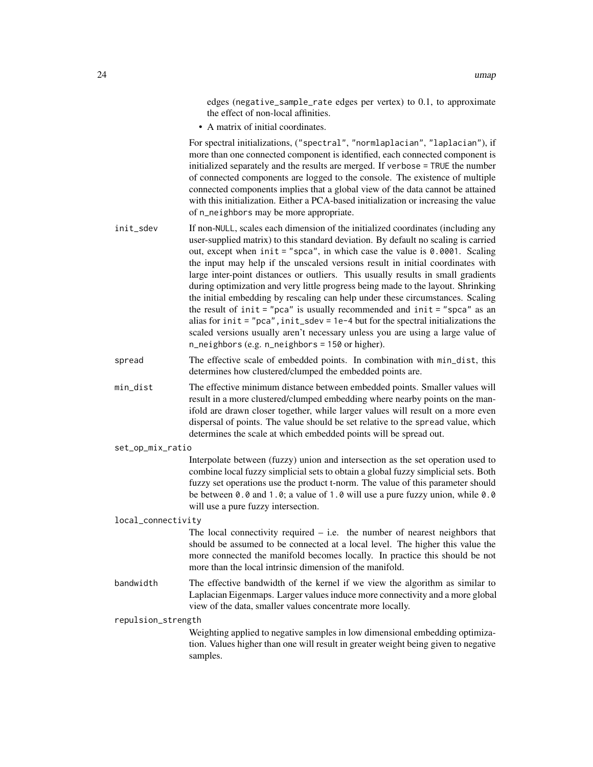edges (negative\_sample\_rate edges per vertex) to 0.1, to approximate the effect of non-local affinities.

• A matrix of initial coordinates.

For spectral initializations, ("spectral", "normlaplacian", "laplacian"), if more than one connected component is identified, each connected component is initialized separately and the results are merged. If verbose = TRUE the number of connected components are logged to the console. The existence of multiple connected components implies that a global view of the data cannot be attained with this initialization. Either a PCA-based initialization or increasing the value of n\_neighbors may be more appropriate.

- init\_sdev If non-NULL, scales each dimension of the initialized coordinates (including any user-supplied matrix) to this standard deviation. By default no scaling is carried out, except when  $init = "spca",$  in which case the value is 0.0001. Scaling the input may help if the unscaled versions result in initial coordinates with large inter-point distances or outliers. This usually results in small gradients during optimization and very little progress being made to the layout. Shrinking the initial embedding by rescaling can help under these circumstances. Scaling the result of init = "pca" is usually recommended and init = "spca" as an alias for init = "pca", init\_sdev =  $1e-4$  but for the spectral initializations the scaled versions usually aren't necessary unless you are using a large value of n\_neighbors (e.g. n\_neighbors = 150 or higher).
- spread The effective scale of embedded points. In combination with min\_dist, this determines how clustered/clumped the embedded points are.
- min\_dist The effective minimum distance between embedded points. Smaller values will result in a more clustered/clumped embedding where nearby points on the manifold are drawn closer together, while larger values will result on a more even dispersal of points. The value should be set relative to the spread value, which determines the scale at which embedded points will be spread out.
- set\_op\_mix\_ratio

Interpolate between (fuzzy) union and intersection as the set operation used to combine local fuzzy simplicial sets to obtain a global fuzzy simplicial sets. Both fuzzy set operations use the product t-norm. The value of this parameter should be between 0.0 and 1.0; a value of 1.0 will use a pure fuzzy union, while 0.0 will use a pure fuzzy intersection.

#### local\_connectivity

The local connectivity required  $-$  i.e. the number of nearest neighbors that should be assumed to be connected at a local level. The higher this value the more connected the manifold becomes locally. In practice this should be not more than the local intrinsic dimension of the manifold.

bandwidth The effective bandwidth of the kernel if we view the algorithm as similar to Laplacian Eigenmaps. Larger values induce more connectivity and a more global view of the data, smaller values concentrate more locally.

repulsion\_strength

Weighting applied to negative samples in low dimensional embedding optimization. Values higher than one will result in greater weight being given to negative samples.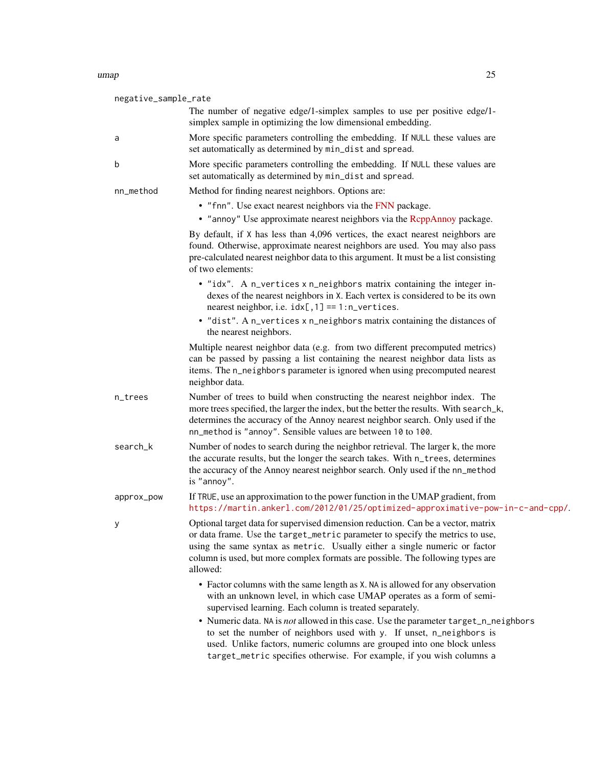| negative_sample_rate |                                                                                                                                                                                                                                                                                                                                                                                                                                                                                                                                       |
|----------------------|---------------------------------------------------------------------------------------------------------------------------------------------------------------------------------------------------------------------------------------------------------------------------------------------------------------------------------------------------------------------------------------------------------------------------------------------------------------------------------------------------------------------------------------|
|                      | The number of negative edge/1-simplex samples to use per positive edge/1-<br>simplex sample in optimizing the low dimensional embedding.                                                                                                                                                                                                                                                                                                                                                                                              |
| a                    | More specific parameters controlling the embedding. If NULL these values are<br>set automatically as determined by min_dist and spread.                                                                                                                                                                                                                                                                                                                                                                                               |
| b                    | More specific parameters controlling the embedding. If NULL these values are<br>set automatically as determined by min_dist and spread.                                                                                                                                                                                                                                                                                                                                                                                               |
| nn_method            | Method for finding nearest neighbors. Options are:                                                                                                                                                                                                                                                                                                                                                                                                                                                                                    |
|                      | • "fnn". Use exact nearest neighbors via the FNN package.                                                                                                                                                                                                                                                                                                                                                                                                                                                                             |
|                      | • "annoy" Use approximate nearest neighbors via the RcppAnnoy package.                                                                                                                                                                                                                                                                                                                                                                                                                                                                |
|                      | By default, if X has less than 4,096 vertices, the exact nearest neighbors are<br>found. Otherwise, approximate nearest neighbors are used. You may also pass<br>pre-calculated nearest neighbor data to this argument. It must be a list consisting<br>of two elements:                                                                                                                                                                                                                                                              |
|                      | • "idx". A n_vertices x n_neighbors matrix containing the integer in-<br>dexes of the nearest neighbors in X. Each vertex is considered to be its own<br>nearest neighbor, i.e. $idx[, 1] == 1:n\_vertices.$                                                                                                                                                                                                                                                                                                                          |
|                      | • "dist". A n_vertices x n_neighbors matrix containing the distances of<br>the nearest neighbors.                                                                                                                                                                                                                                                                                                                                                                                                                                     |
|                      | Multiple nearest neighbor data (e.g. from two different precomputed metrics)<br>can be passed by passing a list containing the nearest neighbor data lists as<br>items. The n_neighbors parameter is ignored when using precomputed nearest<br>neighbor data.                                                                                                                                                                                                                                                                         |
| n_trees              | Number of trees to build when constructing the nearest neighbor index. The<br>more trees specified, the larger the index, but the better the results. With search_k,<br>determines the accuracy of the Annoy nearest neighbor search. Only used if the<br>nn_method is "annoy". Sensible values are between 10 to 100.                                                                                                                                                                                                                |
| search_k             | Number of nodes to search during the neighbor retrieval. The larger k, the more<br>the accurate results, but the longer the search takes. With n_trees, determines<br>the accuracy of the Annoy nearest neighbor search. Only used if the nn_method<br>is "annoy".                                                                                                                                                                                                                                                                    |
| approx_pow           | If TRUE, use an approximation to the power function in the UMAP gradient, from<br>https://martin.ankerl.com/2012/01/25/optimized-approximative-pow-in-c-and-cpp/.                                                                                                                                                                                                                                                                                                                                                                     |
|                      | Optional target data for supervised dimension reduction. Can be a vector, matrix<br>or data frame. Use the target_metric parameter to specify the metrics to use,<br>using the same syntax as metric. Usually either a single numeric or factor<br>column is used, but more complex formats are possible. The following types are<br>allowed:                                                                                                                                                                                         |
|                      | • Factor columns with the same length as X. NA is allowed for any observation<br>with an unknown level, in which case UMAP operates as a form of semi-<br>supervised learning. Each column is treated separately.<br>• Numeric data. NA is not allowed in this case. Use the parameter target_n_neighbors<br>to set the number of neighbors used with y. If unset, n_neighbors is<br>used. Unlike factors, numeric columns are grouped into one block unless<br>target_metric specifies otherwise. For example, if you wish columns a |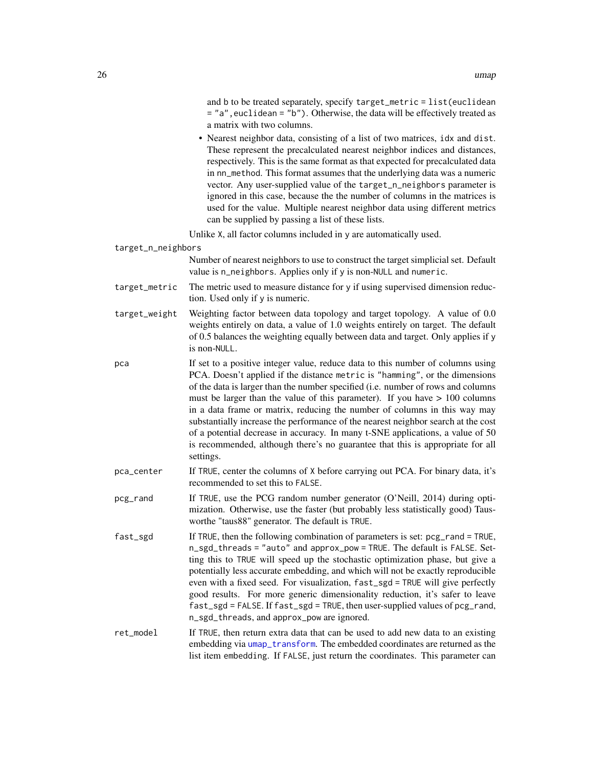<span id="page-25-0"></span>and b to be treated separately, specify target\_metric = list(euclidean = "a",euclidean = "b"). Otherwise, the data will be effectively treated as a matrix with two columns.

• Nearest neighbor data, consisting of a list of two matrices, idx and dist. These represent the precalculated nearest neighbor indices and distances, respectively. This is the same format as that expected for precalculated data in nn\_method. This format assumes that the underlying data was a numeric vector. Any user-supplied value of the target\_n\_neighbors parameter is ignored in this case, because the the number of columns in the matrices is used for the value. Multiple nearest neighbor data using different metrics can be supplied by passing a list of these lists.

Unlike X, all factor columns included in y are automatically used.

target\_n\_neighbors

Number of nearest neighbors to use to construct the target simplicial set. Default value is n\_neighbors. Applies only if y is non-NULL and numeric.

- target\_metric The metric used to measure distance for y if using supervised dimension reduction. Used only if y is numeric.
- target\_weight Weighting factor between data topology and target topology. A value of 0.0 weights entirely on data, a value of 1.0 weights entirely on target. The default of 0.5 balances the weighting equally between data and target. Only applies if y is non-NULL.
- pca If set to a positive integer value, reduce data to this number of columns using PCA. Doesn't applied if the distance metric is "hamming", or the dimensions of the data is larger than the number specified (i.e. number of rows and columns must be larger than the value of this parameter). If you have  $> 100$  columns in a data frame or matrix, reducing the number of columns in this way may substantially increase the performance of the nearest neighbor search at the cost of a potential decrease in accuracy. In many t-SNE applications, a value of 50 is recommended, although there's no guarantee that this is appropriate for all settings.
- pca\_center If TRUE, center the columns of X before carrying out PCA. For binary data, it's recommended to set this to FALSE.
- pcg\_rand If TRUE, use the PCG random number generator (O'Neill, 2014) during optimization. Otherwise, use the faster (but probably less statistically good) Tausworthe "taus88" generator. The default is TRUE.
- fast\_sgd If TRUE, then the following combination of parameters is set: pcg\_rand = TRUE, n\_sgd\_threads = "auto" and approx\_pow = TRUE. The default is FALSE. Setting this to TRUE will speed up the stochastic optimization phase, but give a potentially less accurate embedding, and which will not be exactly reproducible even with a fixed seed. For visualization, fast\_sgd = TRUE will give perfectly good results. For more generic dimensionality reduction, it's safer to leave fast\_sgd = FALSE. If fast\_sgd = TRUE, then user-supplied values of pcg\_rand, n\_sgd\_threads, and approx\_pow are ignored.
- ret\_model If TRUE, then return extra data that can be used to add new data to an existing embedding via [umap\\_transform](#page-29-1). The embedded coordinates are returned as the list item embedding. If FALSE, just return the coordinates. This parameter can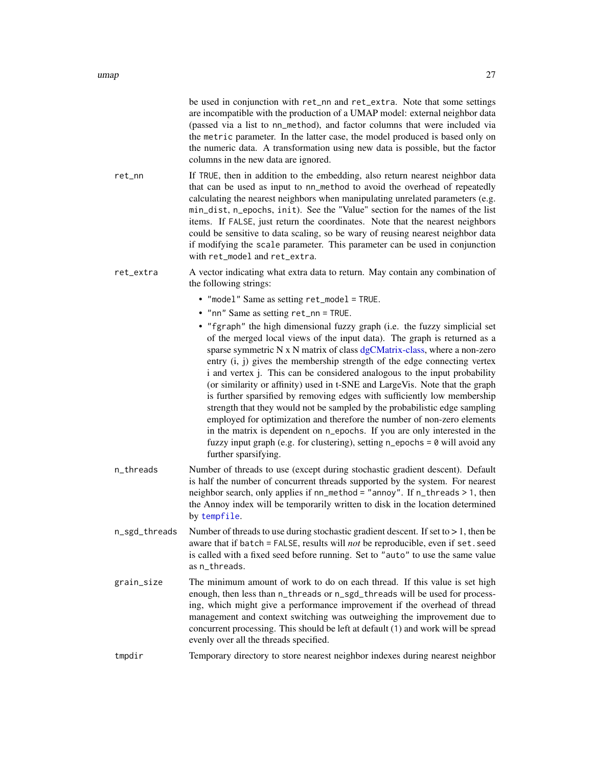<span id="page-26-0"></span>

|               | be used in conjunction with ret_nn and ret_extra. Note that some settings<br>are incompatible with the production of a UMAP model: external neighbor data<br>(passed via a list to nn_method), and factor columns that were included via<br>the metric parameter. In the latter case, the model produced is based only on<br>the numeric data. A transformation using new data is possible, but the factor<br>columns in the new data are ignored.                                                                                                                                                                                                                                                                                                                                                                                                                                                      |
|---------------|---------------------------------------------------------------------------------------------------------------------------------------------------------------------------------------------------------------------------------------------------------------------------------------------------------------------------------------------------------------------------------------------------------------------------------------------------------------------------------------------------------------------------------------------------------------------------------------------------------------------------------------------------------------------------------------------------------------------------------------------------------------------------------------------------------------------------------------------------------------------------------------------------------|
| ret_nn        | If TRUE, then in addition to the embedding, also return nearest neighbor data<br>that can be used as input to nn_method to avoid the overhead of repeatedly<br>calculating the nearest neighbors when manipulating unrelated parameters (e.g.<br>min_dist, n_epochs, init). See the "Value" section for the names of the list<br>items. If FALSE, just return the coordinates. Note that the nearest neighbors<br>could be sensitive to data scaling, so be wary of reusing nearest neighbor data<br>if modifying the scale parameter. This parameter can be used in conjunction<br>with ret_model and ret_extra.                                                                                                                                                                                                                                                                                       |
| ret_extra     | A vector indicating what extra data to return. May contain any combination of<br>the following strings:                                                                                                                                                                                                                                                                                                                                                                                                                                                                                                                                                                                                                                                                                                                                                                                                 |
|               | • "model" Same as setting ret_model = TRUE.                                                                                                                                                                                                                                                                                                                                                                                                                                                                                                                                                                                                                                                                                                                                                                                                                                                             |
|               | • "nn" Same as setting ret_nn = TRUE.                                                                                                                                                                                                                                                                                                                                                                                                                                                                                                                                                                                                                                                                                                                                                                                                                                                                   |
|               | • "fgraph" the high dimensional fuzzy graph (i.e. the fuzzy simplicial set<br>of the merged local views of the input data). The graph is returned as a<br>sparse symmetric N x N matrix of class dgCMatrix-class, where a non-zero<br>entry (i, j) gives the membership strength of the edge connecting vertex<br>i and vertex j. This can be considered analogous to the input probability<br>(or similarity or affinity) used in t-SNE and LargeVis. Note that the graph<br>is further sparsified by removing edges with sufficiently low membership<br>strength that they would not be sampled by the probabilistic edge sampling<br>employed for optimization and therefore the number of non-zero elements<br>in the matrix is dependent on n_epochs. If you are only interested in the<br>fuzzy input graph (e.g. for clustering), setting $n$ -epochs = 0 will avoid any<br>further sparsifying. |
| n_threads     | Number of threads to use (except during stochastic gradient descent). Default<br>is half the number of concurrent threads supported by the system. For nearest<br>neighbor search, only applies if nn_method = "annoy". If n_threads > 1, then<br>the Annoy index will be temporarily written to disk in the location determined<br>by tempfile.                                                                                                                                                                                                                                                                                                                                                                                                                                                                                                                                                        |
| n_sgd_threads | Number of threads to use during stochastic gradient descent. If set to $> 1$ , then be<br>aware that if batch = FALSE, results will not be reproducible, even if set. seed<br>is called with a fixed seed before running. Set to "auto" to use the same value<br>as n_threads.                                                                                                                                                                                                                                                                                                                                                                                                                                                                                                                                                                                                                          |
| grain_size    | The minimum amount of work to do on each thread. If this value is set high<br>enough, then less than n_threads or n_sgd_threads will be used for process-<br>ing, which might give a performance improvement if the overhead of thread<br>management and context switching was outweighing the improvement due to<br>concurrent processing. This should be left at default (1) and work will be spread<br>evenly over all the threads specified.                                                                                                                                                                                                                                                                                                                                                                                                                                                        |
| tmpdir        | Temporary directory to store nearest neighbor indexes during nearest neighbor                                                                                                                                                                                                                                                                                                                                                                                                                                                                                                                                                                                                                                                                                                                                                                                                                           |
|               |                                                                                                                                                                                                                                                                                                                                                                                                                                                                                                                                                                                                                                                                                                                                                                                                                                                                                                         |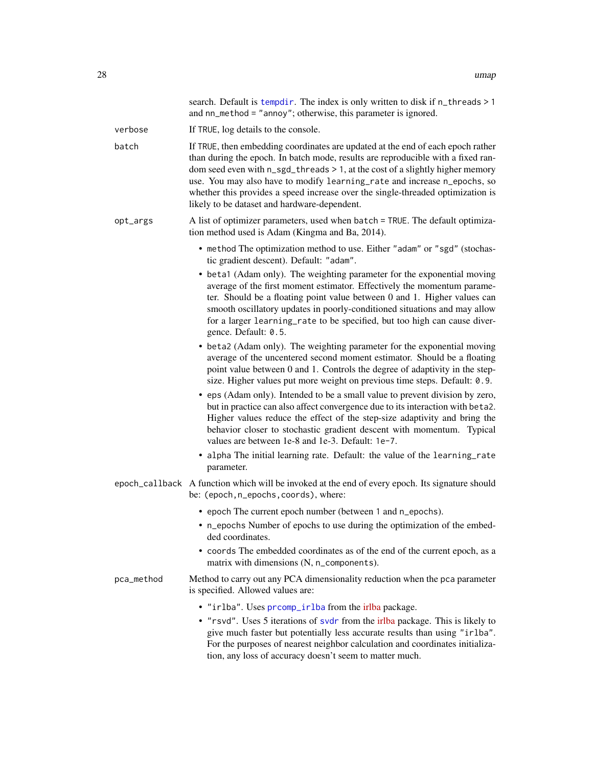<span id="page-27-0"></span>

|            | search. Default is tempdir. The index is only written to disk if n_threads > 1<br>and nn_method = "annoy"; otherwise, this parameter is ignored.                                                                                                                                                                                                                                                                                                                    |
|------------|---------------------------------------------------------------------------------------------------------------------------------------------------------------------------------------------------------------------------------------------------------------------------------------------------------------------------------------------------------------------------------------------------------------------------------------------------------------------|
| verbose    | If TRUE, log details to the console.                                                                                                                                                                                                                                                                                                                                                                                                                                |
| batch      | If TRUE, then embedding coordinates are updated at the end of each epoch rather<br>than during the epoch. In batch mode, results are reproducible with a fixed ran-<br>dom seed even with n_sgd_threads > 1, at the cost of a slightly higher memory<br>use. You may also have to modify learning_rate and increase n_epochs, so<br>whether this provides a speed increase over the single-threaded optimization is<br>likely to be dataset and hardware-dependent. |
| opt_args   | A list of optimizer parameters, used when batch = TRUE. The default optimiza-<br>tion method used is Adam (Kingma and Ba, 2014).                                                                                                                                                                                                                                                                                                                                    |
|            | • method The optimization method to use. Either "adam" or "sgd" (stochas-<br>tic gradient descent). Default: "adam".                                                                                                                                                                                                                                                                                                                                                |
|            | • beta1 (Adam only). The weighting parameter for the exponential moving<br>average of the first moment estimator. Effectively the momentum parame-<br>ter. Should be a floating point value between 0 and 1. Higher values can<br>smooth oscillatory updates in poorly-conditioned situations and may allow<br>for a larger learning_rate to be specified, but too high can cause diver-<br>gence. Default: 0.5.                                                    |
|            | • beta2 (Adam only). The weighting parameter for the exponential moving<br>average of the uncentered second moment estimator. Should be a floating<br>point value between 0 and 1. Controls the degree of adaptivity in the step-<br>size. Higher values put more weight on previous time steps. Default: 0.9.                                                                                                                                                      |
|            | • eps (Adam only). Intended to be a small value to prevent division by zero,<br>but in practice can also affect convergence due to its interaction with beta2.<br>Higher values reduce the effect of the step-size adaptivity and bring the<br>behavior closer to stochastic gradient descent with momentum. Typical<br>values are between 1e-8 and 1e-3. Default: 1e-7.                                                                                            |
|            | • alpha The initial learning rate. Default: the value of the learning_rate<br>parameter.                                                                                                                                                                                                                                                                                                                                                                            |
|            | epoch_callback A function which will be invoked at the end of every epoch. Its signature should<br>be: (epoch, n_epochs, coords), where:                                                                                                                                                                                                                                                                                                                            |
|            | • epoch The current epoch number (between 1 and n_epochs).                                                                                                                                                                                                                                                                                                                                                                                                          |
|            | • n_epochs Number of epochs to use during the optimization of the embed-<br>ded coordinates.                                                                                                                                                                                                                                                                                                                                                                        |
|            | • coords The embedded coordinates as of the end of the current epoch, as a<br>matrix with dimensions (N, n_components).                                                                                                                                                                                                                                                                                                                                             |
| pca_method | Method to carry out any PCA dimensionality reduction when the pca parameter<br>is specified. Allowed values are:                                                                                                                                                                                                                                                                                                                                                    |
|            | • "irlba". Uses prcomp_irlba from the irlba package.                                                                                                                                                                                                                                                                                                                                                                                                                |
|            | . "rsvd". Uses 5 iterations of svdr from the irlba package. This is likely to<br>give much faster but potentially less accurate results than using "irlba".<br>For the purposes of nearest neighbor calculation and coordinates initializa-<br>tion, any loss of accuracy doesn't seem to matter much.                                                                                                                                                              |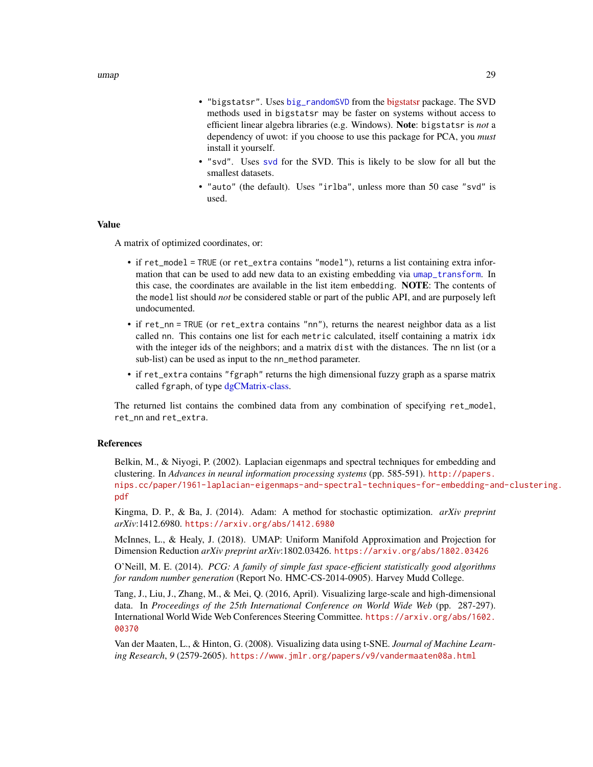- <span id="page-28-0"></span>• "bigstatsr". Uses [big\\_randomSVD](#page-0-0) from the [bigstatsr](https://cran.r-project.org/package=bigstatsr) package. The SVD methods used in bigstatsr may be faster on systems without access to efficient linear algebra libraries (e.g. Windows). Note: bigstatsr is *not* a dependency of uwot: if you choose to use this package for PCA, you *must* install it yourself.
- "svd". Uses [svd](#page-0-0) for the SVD. This is likely to be slow for all but the smallest datasets.
- "auto" (the default). Uses "irlba", unless more than 50 case "svd" is used.

#### Value

A matrix of optimized coordinates, or:

- if ret\_model = TRUE (or ret\_extra contains "model"), returns a list containing extra information that can be used to add new data to an existing embedding via [umap\\_transform](#page-29-1). In this case, the coordinates are available in the list item embedding. NOTE: The contents of the model list should *not* be considered stable or part of the public API, and are purposely left undocumented.
- if ret\_nn = TRUE (or ret\_extra contains "nn"), returns the nearest neighbor data as a list called nn. This contains one list for each metric calculated, itself containing a matrix idx with the integer ids of the neighbors; and a matrix dist with the distances. The nn list (or a sub-list) can be used as input to the nn\_method parameter.
- if ret\_extra contains "fgraph" returns the high dimensional fuzzy graph as a sparse matrix called fgraph, of type [dgCMatrix-class.](#page-0-0)

The returned list contains the combined data from any combination of specifying ret\_model, ret\_nn and ret\_extra.

#### References

Belkin, M., & Niyogi, P. (2002). Laplacian eigenmaps and spectral techniques for embedding and clustering. In *Advances in neural information processing systems* (pp. 585-591). [http://papers.](http://papers.nips.cc/paper/1961-laplacian-eigenmaps-and-spectral-techniques-for-embedding-and-clustering.pdf) [nips.cc/paper/1961-laplacian-eigenmaps-and-spectral-techniques-for-embedding-an](http://papers.nips.cc/paper/1961-laplacian-eigenmaps-and-spectral-techniques-for-embedding-and-clustering.pdf)d-clustering. [pdf](http://papers.nips.cc/paper/1961-laplacian-eigenmaps-and-spectral-techniques-for-embedding-and-clustering.pdf)

Kingma, D. P., & Ba, J. (2014). Adam: A method for stochastic optimization. *arXiv preprint arXiv*:1412.6980. <https://arxiv.org/abs/1412.6980>

McInnes, L., & Healy, J. (2018). UMAP: Uniform Manifold Approximation and Projection for Dimension Reduction *arXiv preprint arXiv*:1802.03426. <https://arxiv.org/abs/1802.03426>

O'Neill, M. E. (2014). *PCG: A family of simple fast space-efficient statistically good algorithms for random number generation* (Report No. HMC-CS-2014-0905). Harvey Mudd College.

Tang, J., Liu, J., Zhang, M., & Mei, Q. (2016, April). Visualizing large-scale and high-dimensional data. In *Proceedings of the 25th International Conference on World Wide Web* (pp. 287-297). International World Wide Web Conferences Steering Committee. [https://arxiv.org/abs/1602.](https://arxiv.org/abs/1602.00370) [00370](https://arxiv.org/abs/1602.00370)

Van der Maaten, L., & Hinton, G. (2008). Visualizing data using t-SNE. *Journal of Machine Learning Research*, *9* (2579-2605). <https://www.jmlr.org/papers/v9/vandermaaten08a.html>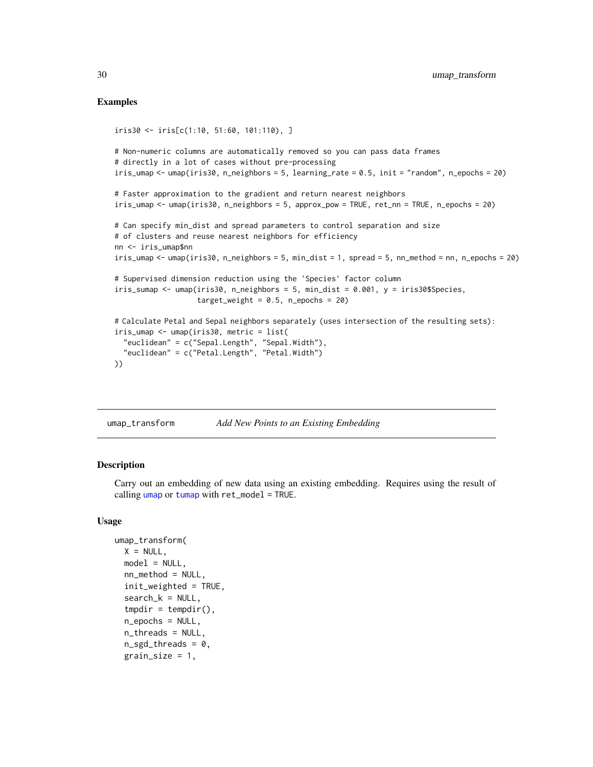#### <span id="page-29-0"></span>Examples

```
iris30 <- iris[c(1:10, 51:60, 101:110), ]
# Non-numeric columns are automatically removed so you can pass data frames
# directly in a lot of cases without pre-processing
iris_umap <- umap(iris30, n_neighbors = 5, learning_rate = 0.5, init = "random", n_epochs = 20)
# Faster approximation to the gradient and return nearest neighbors
iris_umap <- umap(iris30, n_neighbors = 5, approx_pow = TRUE, ret_nn = TRUE, n_epochs = 20)
# Can specify min_dist and spread parameters to control separation and size
# of clusters and reuse nearest neighbors for efficiency
nn <- iris_umap$nn
iris_umap \le - umap(iris30, n_neighbors = 5, min_dist = 1, spread = 5, nn_method = nn, n_epochs = 20)
# Supervised dimension reduction using the 'Species' factor column
iris\_sump \leftarrowump(iris30, n\_neighbors = 5, min\_dist = 0.001, y = iris30$$target\_weight = 0.5, n_epochs = 20)
# Calculate Petal and Sepal neighbors separately (uses intersection of the resulting sets):
iris_umap <- umap(iris30, metric = list(
  "euclidean" = c("Sepal.Length", "Sepal.Width"),
  "euclidean" = c("Petal.Length", "Petal.Width")
))
```
<span id="page-29-1"></span>umap\_transform *Add New Points to an Existing Embedding*

#### **Description**

Carry out an embedding of new data using an existing embedding. Requires using the result of calling [umap](#page-20-1) or [tumap](#page-11-1) with ret\_model = TRUE.

#### Usage

```
umap_transform(
 X = NULL,model = NULL,nn_method = NULL,
  init_weighted = TRUE,
  search_k = NULL,tmpdir = tempdir(),n epochs = NULL,
  n_threads = NULL,
  n_s g d_t threads = 0,
  grain_size = 1,
```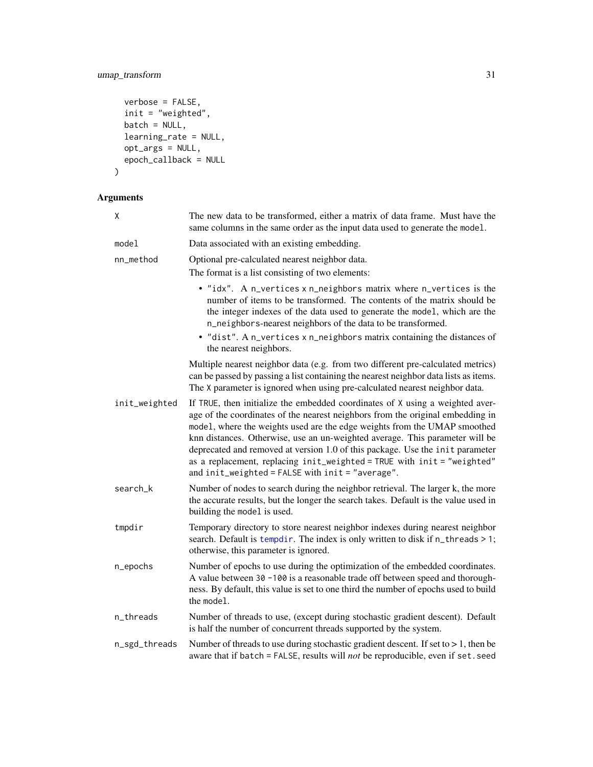#### <span id="page-30-0"></span>umap\_transform 31

```
verbose = FALSE,
 init = "weighted",
 batch = NULL,learning_rate = NULL,
 opt_{args} = NULL,
 epoch_callback = NULL
\mathcal{L}
```
### Arguments

| χ             | The new data to be transformed, either a matrix of data frame. Must have the<br>same columns in the same order as the input data used to generate the model.                                                                                                                                                                                                                                                                                                                                                                                 |
|---------------|----------------------------------------------------------------------------------------------------------------------------------------------------------------------------------------------------------------------------------------------------------------------------------------------------------------------------------------------------------------------------------------------------------------------------------------------------------------------------------------------------------------------------------------------|
| model         | Data associated with an existing embedding.                                                                                                                                                                                                                                                                                                                                                                                                                                                                                                  |
| nn_method     | Optional pre-calculated nearest neighbor data.<br>The format is a list consisting of two elements:                                                                                                                                                                                                                                                                                                                                                                                                                                           |
|               | • "idx". A n_vertices x n_neighbors matrix where n_vertices is the<br>number of items to be transformed. The contents of the matrix should be<br>the integer indexes of the data used to generate the model, which are the<br>n_neighbors-nearest neighbors of the data to be transformed.<br>· "dist". A n_vertices x n_neighbors matrix containing the distances of<br>the nearest neighbors.                                                                                                                                              |
|               | Multiple nearest neighbor data (e.g. from two different pre-calculated metrics)<br>can be passed by passing a list containing the nearest neighbor data lists as items.<br>The X parameter is ignored when using pre-calculated nearest neighbor data.                                                                                                                                                                                                                                                                                       |
| init_weighted | If TRUE, then initialize the embedded coordinates of X using a weighted aver-<br>age of the coordinates of the nearest neighbors from the original embedding in<br>model, where the weights used are the edge weights from the UMAP smoothed<br>knn distances. Otherwise, use an un-weighted average. This parameter will be<br>deprecated and removed at version 1.0 of this package. Use the init parameter<br>as a replacement, replacing init_weighted = TRUE with init = "weighted"<br>and init_weighted = FALSE with init = "average". |
| search_k      | Number of nodes to search during the neighbor retrieval. The larger k, the more<br>the accurate results, but the longer the search takes. Default is the value used in<br>building the model is used.                                                                                                                                                                                                                                                                                                                                        |
| tmpdir        | Temporary directory to store nearest neighbor indexes during nearest neighbor<br>search. Default is tempdir. The index is only written to disk if n_threads > 1;<br>otherwise, this parameter is ignored.                                                                                                                                                                                                                                                                                                                                    |
| n_epochs      | Number of epochs to use during the optimization of the embedded coordinates.<br>A value between 30 -100 is a reasonable trade off between speed and thorough-<br>ness. By default, this value is set to one third the number of epochs used to build<br>the model.                                                                                                                                                                                                                                                                           |
| n_threads     | Number of threads to use, (except during stochastic gradient descent). Default<br>is half the number of concurrent threads supported by the system.                                                                                                                                                                                                                                                                                                                                                                                          |
| n_sgd_threads | Number of threads to use during stochastic gradient descent. If set to $> 1$ , then be<br>aware that if batch = FALSE, results will not be reproducible, even if set. seed                                                                                                                                                                                                                                                                                                                                                                   |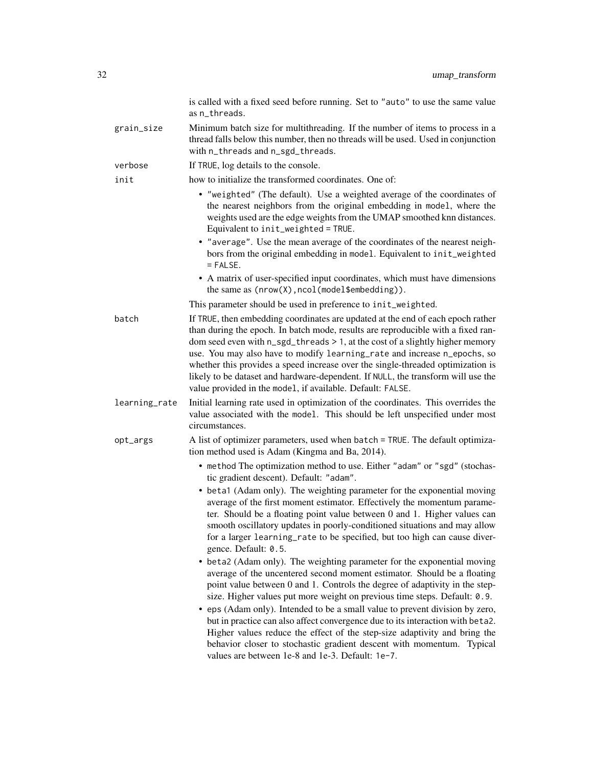|               | is called with a fixed seed before running. Set to "auto" to use the same value<br>as n_threads.                                                                                                                                                                                                                                                                                                                                                                                                                                                                                                                                       |
|---------------|----------------------------------------------------------------------------------------------------------------------------------------------------------------------------------------------------------------------------------------------------------------------------------------------------------------------------------------------------------------------------------------------------------------------------------------------------------------------------------------------------------------------------------------------------------------------------------------------------------------------------------------|
| grain_size    | Minimum batch size for multithreading. If the number of items to process in a<br>thread falls below this number, then no threads will be used. Used in conjunction<br>with n_threads and n_sgd_threads.                                                                                                                                                                                                                                                                                                                                                                                                                                |
| verbose       | If TRUE, log details to the console.                                                                                                                                                                                                                                                                                                                                                                                                                                                                                                                                                                                                   |
| init          | how to initialize the transformed coordinates. One of:                                                                                                                                                                                                                                                                                                                                                                                                                                                                                                                                                                                 |
|               | • "weighted" (The default). Use a weighted average of the coordinates of<br>the nearest neighbors from the original embedding in model, where the<br>weights used are the edge weights from the UMAP smoothed knn distances.<br>Equivalent to init_weighted = TRUE.                                                                                                                                                                                                                                                                                                                                                                    |
|               | • "average". Use the mean average of the coordinates of the nearest neigh-<br>bors from the original embedding in model. Equivalent to init_weighted<br>$=$ FALSE.                                                                                                                                                                                                                                                                                                                                                                                                                                                                     |
|               | • A matrix of user-specified input coordinates, which must have dimensions<br>the same as $(nrow(X), ncol(mod 15embedding)).$                                                                                                                                                                                                                                                                                                                                                                                                                                                                                                          |
|               | This parameter should be used in preference to init_weighted.                                                                                                                                                                                                                                                                                                                                                                                                                                                                                                                                                                          |
| batch         | If TRUE, then embedding coordinates are updated at the end of each epoch rather<br>than during the epoch. In batch mode, results are reproducible with a fixed ran-<br>dom seed even with n_sgd_threads > 1, at the cost of a slightly higher memory<br>use. You may also have to modify learning_rate and increase n_epochs, so<br>whether this provides a speed increase over the single-threaded optimization is<br>likely to be dataset and hardware-dependent. If NULL, the transform will use the<br>value provided in the model, if available. Default: FALSE.                                                                  |
| learning_rate | Initial learning rate used in optimization of the coordinates. This overrides the<br>value associated with the model. This should be left unspecified under most<br>circumstances.                                                                                                                                                                                                                                                                                                                                                                                                                                                     |
| opt_args      | A list of optimizer parameters, used when batch = TRUE. The default optimiza-<br>tion method used is Adam (Kingma and Ba, 2014).                                                                                                                                                                                                                                                                                                                                                                                                                                                                                                       |
|               | • method The optimization method to use. Either "adam" or "sgd" (stochas-<br>tic gradient descent). Default: "adam".                                                                                                                                                                                                                                                                                                                                                                                                                                                                                                                   |
|               | • beta1 (Adam only). The weighting parameter for the exponential moving<br>average of the first moment estimator. Effectively the momentum parame-<br>ter. Should be a floating point value between 0 and 1. Higher values can<br>smooth oscillatory updates in poorly-conditioned situations and may allow<br>for a larger learning_rate to be specified, but too high can cause diver-<br>gence. Default: 0.5.                                                                                                                                                                                                                       |
|               | • beta2 (Adam only). The weighting parameter for the exponential moving<br>average of the uncentered second moment estimator. Should be a floating<br>point value between 0 and 1. Controls the degree of adaptivity in the step-<br>size. Higher values put more weight on previous time steps. Default: 0.9.<br>• eps (Adam only). Intended to be a small value to prevent division by zero,<br>but in practice can also affect convergence due to its interaction with beta2.<br>Higher values reduce the effect of the step-size adaptivity and bring the<br>behavior closer to stochastic gradient descent with momentum. Typical |
|               | values are between 1e-8 and 1e-3. Default: 1e-7.                                                                                                                                                                                                                                                                                                                                                                                                                                                                                                                                                                                       |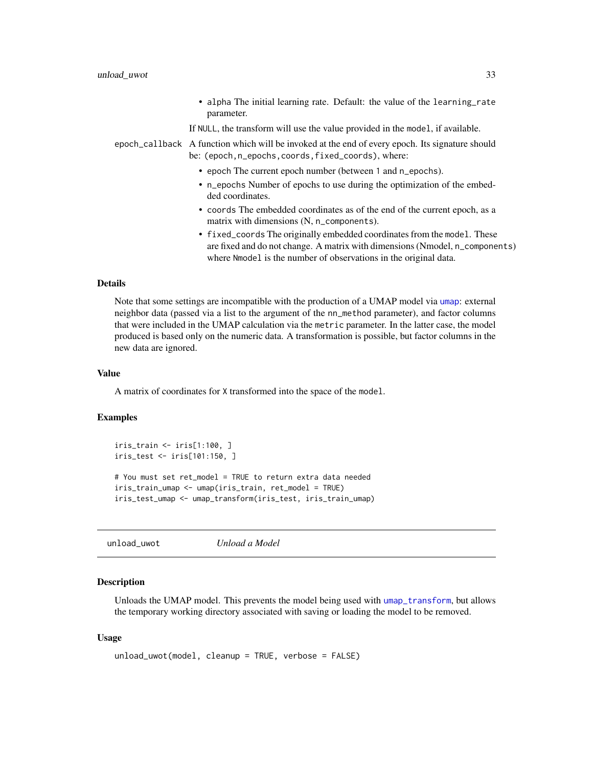#### <span id="page-32-0"></span>unload\_uwot 33

|  | • alpha The initial learning rate. Default: the value of the learning_rate<br>parameter.                                                                                                                                     |
|--|------------------------------------------------------------------------------------------------------------------------------------------------------------------------------------------------------------------------------|
|  | If NULL, the transform will use the value provided in the model, if available.                                                                                                                                               |
|  | epoch_callback A function which will be invoked at the end of every epoch. Its signature should<br>be: (epoch, n_epochs, coords, fixed_coords), where:                                                                       |
|  | • epoch The current epoch number (between 1 and n_epochs).                                                                                                                                                                   |
|  | • n_epochs Number of epochs to use during the optimization of the embed-<br>ded coordinates.                                                                                                                                 |
|  | • coords The embedded coordinates as of the end of the current epoch, as a<br>matrix with dimensions (N, n_components).                                                                                                      |
|  | • fixed_coords The originally embedded coordinates from the model. These<br>are fixed and do not change. A matrix with dimensions (Nmodel, n_components)<br>where Nmodel is the number of observations in the original data. |
|  |                                                                                                                                                                                                                              |

#### Details

Note that some settings are incompatible with the production of a UMAP model via [umap](#page-20-1): external neighbor data (passed via a list to the argument of the nn\_method parameter), and factor columns that were included in the UMAP calculation via the metric parameter. In the latter case, the model produced is based only on the numeric data. A transformation is possible, but factor columns in the new data are ignored.

#### Value

A matrix of coordinates for X transformed into the space of the model.

#### Examples

```
iris_train <- iris[1:100, ]
iris_test <- iris[101:150, ]
# You must set ret_model = TRUE to return extra data needed
iris_train_umap <- umap(iris_train, ret_model = TRUE)
iris_test_umap <- umap_transform(iris_test, iris_train_umap)
```
<span id="page-32-1"></span>unload\_uwot *Unload a Model*

#### Description

Unloads the UMAP model. This prevents the model being used with [umap\\_transform](#page-29-1), but allows the temporary working directory associated with saving or loading the model to be removed.

#### Usage

```
unload_uwot(model, cleanup = TRUE, verbose = FALSE)
```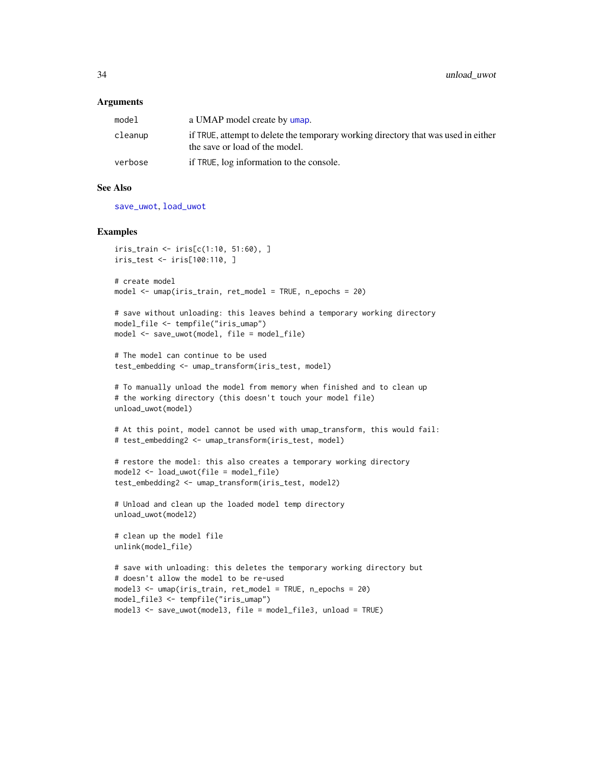#### <span id="page-33-0"></span>Arguments

| model   | a UMAP model create by umap.                                                                                         |
|---------|----------------------------------------------------------------------------------------------------------------------|
| cleanup | if TRUE, attempt to delete the temporary working directory that was used in either<br>the save or load of the model. |
| verbose | if TRUE, log information to the console.                                                                             |

#### See Also

[save\\_uwot](#page-10-1), [load\\_uwot](#page-1-1)

#### Examples

```
iris_train <- iris[c(1:10, 51:60), ]
iris_test <- iris[100:110, ]
# create model
model <- umap(iris_train, ret_model = TRUE, n_epochs = 20)
```

```
# save without unloading: this leaves behind a temporary working directory
model_file <- tempfile("iris_umap")
model <- save_uwot(model, file = model_file)
```

```
# The model can continue to be used
test_embedding <- umap_transform(iris_test, model)
```

```
# To manually unload the model from memory when finished and to clean up
# the working directory (this doesn't touch your model file)
unload_uwot(model)
```

```
# At this point, model cannot be used with umap_transform, this would fail:
# test_embedding2 <- umap_transform(iris_test, model)
```

```
# restore the model: this also creates a temporary working directory
model2 <- load_uwot(file = model_file)
test_embedding2 <- umap_transform(iris_test, model2)
```

```
# Unload and clean up the loaded model temp directory
unload_uwot(model2)
```

```
# clean up the model file
unlink(model_file)
```

```
# save with unloading: this deletes the temporary working directory but
# doesn't allow the model to be re-used
model3 <- umap(iris_train, ret_model = TRUE, n_epochs = 20)
model_file3 <- tempfile("iris_umap")
model3 <- save_uwot(model3, file = model_file3, unload = TRUE)
```